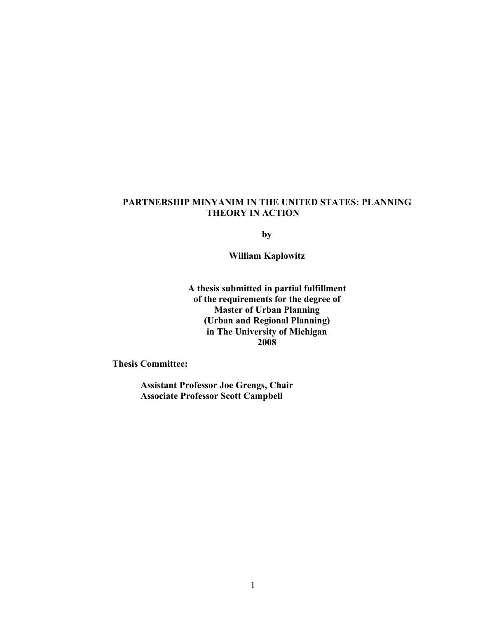## **PARTNERSHIP MINYANIM IN THE UNITED STATES: PLANNING THEORY IN ACTION**

**by**

**William Kaplowitz**

**A thesis submitted in partial fulfillment of the requirements for the degree of Master of Urban Planning (Urban and Regional Planning) in The University of Michigan 2008**

**Thesis Committee:**

**Assistant Professor Joe Grengs, Chair Associate Professor Scott Campbell**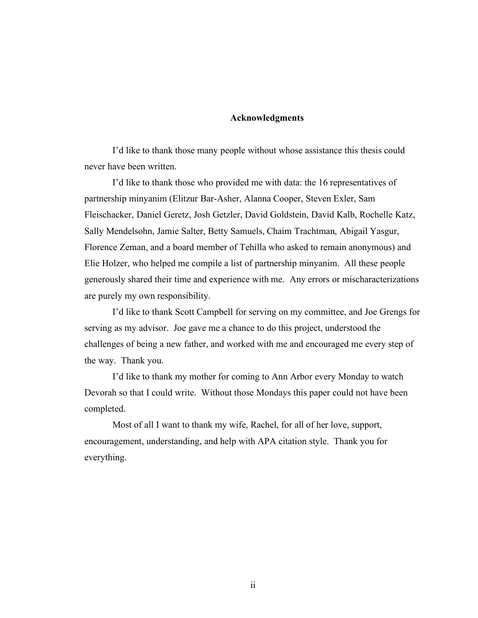#### **Acknowledgments**

I'd like to thank those many people without whose assistance this thesis could never have been written.

I'd like to thank those who provided me with data: the 16 representatives of partnership minyanim (Elitzur Bar-Asher, Alanna Cooper, Steven Exler, Sam Fleischacker, Daniel Geretz, Josh Getzler, David Goldstein, David Kalb, Rochelle Katz, Sally Mendelsohn, Jamie Salter, Betty Samuels, Chaim Trachtman, Abigail Yasgur, Florence Zeman, and a board member of Tehilla who asked to remain anonymous) and Elie Holzer, who helped me compile a list of partnership minyanim. All these people generously shared their time and experience with me. Any errors or mischaracterizations are purely my own responsibility.

I'd like to thank Scott Campbell for serving on my committee, and Joe Grengs for serving as my advisor. Joe gave me a chance to do this project, understood the challenges of being a new father, and worked with me and encouraged me every step of the way. Thank you.

I'd like to thank my mother for coming to Ann Arbor every Monday to watch Devorah so that I could write. Without those Mondays this paper could not have been completed.

Most of all I want to thank my wife, Rachel, for all of her love, support, encouragement, understanding, and help with APA citation style. Thank you for everything.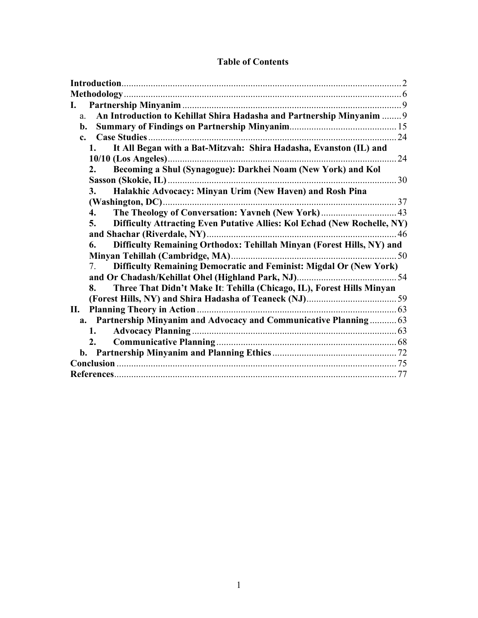| L.                                                                                   |    |
|--------------------------------------------------------------------------------------|----|
| An Introduction to Kehillat Shira Hadasha and Partnership Minyanim  9<br>a.          |    |
| b.                                                                                   |    |
| $\mathbf{c}$ .                                                                       | 24 |
| It All Began with a Bat-Mitzvah: Shira Hadasha, Evanston (IL) and<br>1.              |    |
|                                                                                      |    |
| Becoming a Shul (Synagogue): Darkhei Noam (New York) and Kol<br>2.                   |    |
|                                                                                      |    |
| Halakhic Advocacy: Minyan Urim (New Haven) and Rosh Pina<br>3.                       |    |
|                                                                                      |    |
| 4.                                                                                   |    |
| Difficulty Attracting Even Putative Allies: Kol Echad (New Rochelle, NY)<br>5.       |    |
|                                                                                      |    |
| Difficulty Remaining Orthodox: Tehillah Minyan (Forest Hills, NY) and<br>6.          |    |
|                                                                                      |    |
| Difficulty Remaining Democratic and Feminist: Migdal Or (New York)<br>7 <sub>1</sub> |    |
|                                                                                      |    |
| Three That Didn't Make It: Tehilla (Chicago, IL), Forest Hills Minyan<br>8.          |    |
|                                                                                      |    |
|                                                                                      |    |
| a. Partnership Minyanim and Advocacy and Communicative Planning 63                   |    |
| 1.                                                                                   |    |
| 2.                                                                                   |    |
|                                                                                      |    |
|                                                                                      |    |
|                                                                                      |    |

## **Table of Contents**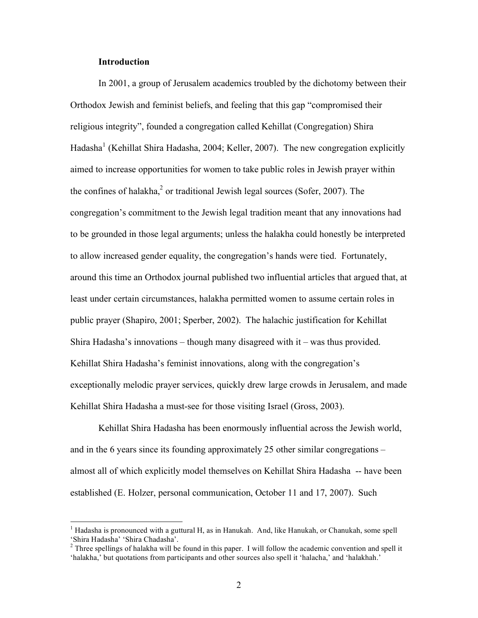#### **Introduction**

In 2001, a group of Jerusalem academics troubled by the dichotomy between their Orthodox Jewish and feminist beliefs, and feeling that this gap "compromised their religious integrity", founded a congregation called Kehillat (Congregation) Shira Hadasha<sup>1</sup> (Kehillat Shira Hadasha, 2004; Keller, 2007). The new congregation explicitly aimed to increase opportunities for women to take public roles in Jewish prayer within the confines of halakha, $2$  or traditional Jewish legal sources (Sofer, 2007). The congregation's commitment to the Jewish legal tradition meant that any innovations had to be grounded in those legal arguments; unless the halakha could honestly be interpreted to allow increased gender equality, the congregation's hands were tied. Fortunately, around this time an Orthodox journal published two influential articles that argued that, at least under certain circumstances, halakha permitted women to assume certain roles in public prayer (Shapiro, 2001; Sperber, 2002). The halachic justification for Kehillat Shira Hadasha's innovations – though many disagreed with it – was thus provided. Kehillat Shira Hadasha's feminist innovations, along with the congregation's exceptionally melodic prayer services, quickly drew large crowds in Jerusalem, and made Kehillat Shira Hadasha a must-see for those visiting Israel (Gross, 2003).

Kehillat Shira Hadasha has been enormously influential across the Jewish world, and in the 6 years since its founding approximately 25 other similar congregations – almost all of which explicitly model themselves on Kehillat Shira Hadasha -- have been established (E. Holzer, personal communication, October 11 and 17, 2007). Such

 $\frac{1}{1}$  $<sup>1</sup>$  Hadasha is pronounced with a guttural H, as in Hanukah. And, like Hanukah, or Chanukah, some spell</sup> 'Shira Hadasha' 'Shira Chadasha'.

 $2^2$  Three spellings of halakha will be found in this paper. I will follow the academic convention and spell it 'halakha,' but quotations from participants and other sources also spell it 'halacha,' and 'halakhah.'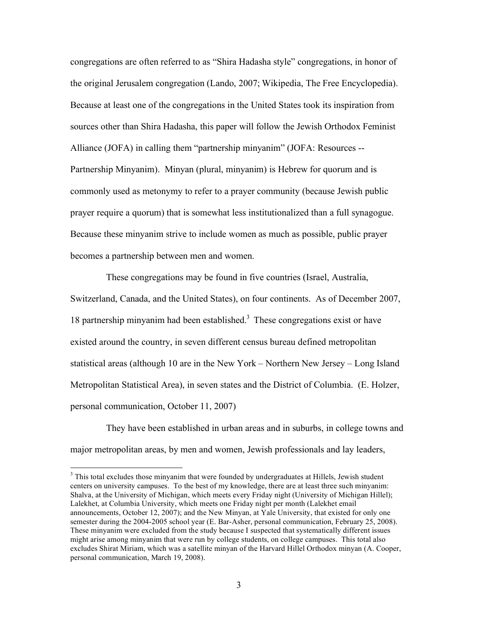congregations are often referred to as "Shira Hadasha style" congregations, in honor of the original Jerusalem congregation (Lando, 2007; Wikipedia, The Free Encyclopedia). Because at least one of the congregations in the United States took its inspiration from sources other than Shira Hadasha, this paper will follow the Jewish Orthodox Feminist Alliance (JOFA) in calling them "partnership minyanim" (JOFA: Resources -- Partnership Minyanim). Minyan (plural, minyanim) is Hebrew for quorum and is commonly used as metonymy to refer to a prayer community (because Jewish public prayer require a quorum) that is somewhat less institutionalized than a full synagogue. Because these minyanim strive to include women as much as possible, public prayer becomes a partnership between men and women.

These congregations may be found in five countries (Israel, Australia, Switzerland, Canada, and the United States), on four continents. As of December 2007, 18 partnership minyanim had been established.<sup>3</sup> These congregations exist or have existed around the country, in seven different census bureau defined metropolitan statistical areas (although 10 are in the New York – Northern New Jersey – Long Island Metropolitan Statistical Area), in seven states and the District of Columbia. (E. Holzer, personal communication, October 11, 2007)

They have been established in urban areas and in suburbs, in college towns and major metropolitan areas, by men and women, Jewish professionals and lay leaders,

 <sup>3</sup>  $3$  This total excludes those minyanim that were founded by undergraduates at Hillels, Jewish student centers on university campuses. To the best of my knowledge, there are at least three such minyanim: Shalva, at the University of Michigan, which meets every Friday night (University of Michigan Hillel); Lalekhet, at Columbia University, which meets one Friday night per month (Lalekhet email announcements, October 12, 2007); and the New Minyan, at Yale University, that existed for only one semester during the 2004-2005 school year (E. Bar-Asher, personal communication, February 25, 2008). These minyanim were excluded from the study because I suspected that systematically different issues might arise among minyanim that were run by college students, on college campuses. This total also excludes Shirat Miriam, which was a satellite minyan of the Harvard Hillel Orthodox minyan (A. Cooper, personal communication, March 19, 2008).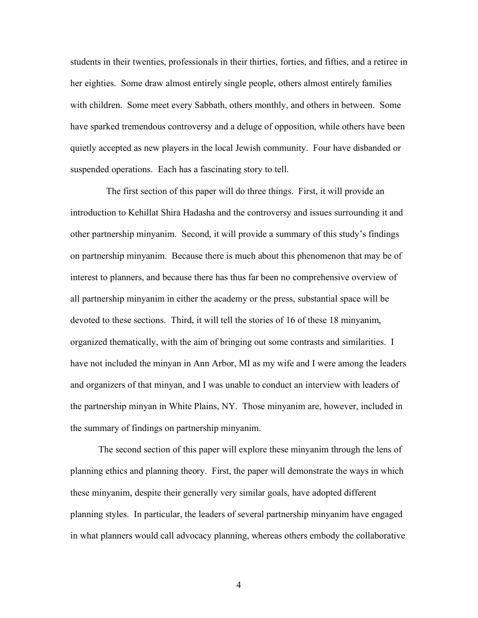students in their twenties, professionals in their thirties, forties, and fifties, and a retiree in her eighties. Some draw almost entirely single people, others almost entirely families with children. Some meet every Sabbath, others monthly, and others in between. Some have sparked tremendous controversy and a deluge of opposition, while others have been quietly accepted as new players in the local Jewish community. Four have disbanded or suspended operations. Each has a fascinating story to tell.

The first section of this paper will do three things. First, it will provide an introduction to Kehillat Shira Hadasha and the controversy and issues surrounding it and other partnership minyanim. Second, it will provide a summary of this study's findings on partnership minyanim. Because there is much about this phenomenon that may be of interest to planners, and because there has thus far been no comprehensive overview of all partnership minyanim in either the academy or the press, substantial space will be devoted to these sections. Third, it will tell the stories of 16 of these 18 minyanim, organized thematically, with the aim of bringing out some contrasts and similarities. I have not included the minyan in Ann Arbor, MI as my wife and I were among the leaders and organizers of that minyan, and I was unable to conduct an interview with leaders of the partnership minyan in White Plains, NY. Those minyanim are, however, included in the summary of findings on partnership minyanim.

The second section of this paper will explore these minyanim through the lens of planning ethics and planning theory. First, the paper will demonstrate the ways in which these minyanim, despite their generally very similar goals, have adopted different planning styles. In particular, the leaders of several partnership minyanim have engaged in what planners would call advocacy planning, whereas others embody the collaborative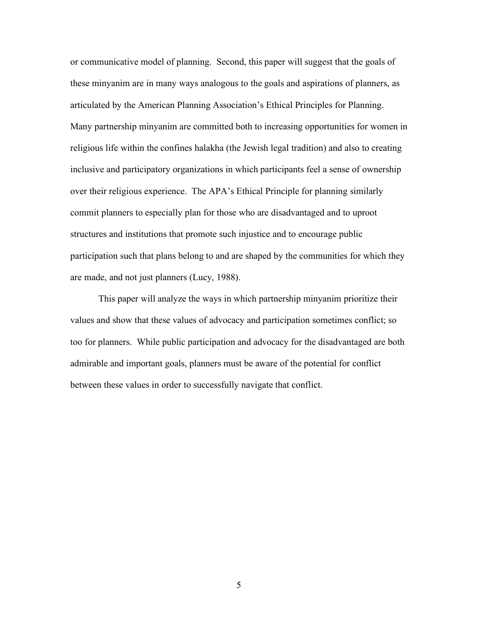or communicative model of planning. Second, this paper will suggest that the goals of these minyanim are in many ways analogous to the goals and aspirations of planners, as articulated by the American Planning Association's Ethical Principles for Planning. Many partnership minyanim are committed both to increasing opportunities for women in religious life within the confines halakha (the Jewish legal tradition) and also to creating inclusive and participatory organizations in which participants feel a sense of ownership over their religious experience. The APA's Ethical Principle for planning similarly commit planners to especially plan for those who are disadvantaged and to uproot structures and institutions that promote such injustice and to encourage public participation such that plans belong to and are shaped by the communities for which they are made, and not just planners (Lucy, 1988).

This paper will analyze the ways in which partnership minyanim prioritize their values and show that these values of advocacy and participation sometimes conflict; so too for planners. While public participation and advocacy for the disadvantaged are both admirable and important goals, planners must be aware of the potential for conflict between these values in order to successfully navigate that conflict.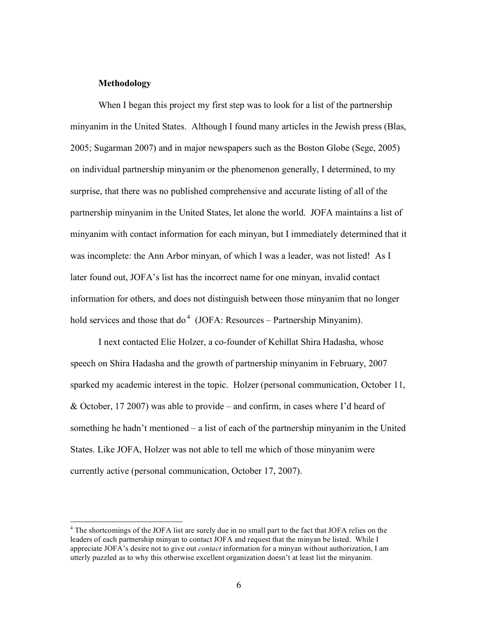#### **Methodology**

When I began this project my first step was to look for a list of the partnership minyanim in the United States. Although I found many articles in the Jewish press (Blas, 2005; Sugarman 2007) and in major newspapers such as the Boston Globe (Sege, 2005) on individual partnership minyanim or the phenomenon generally, I determined, to my surprise, that there was no published comprehensive and accurate listing of all of the partnership minyanim in the United States, let alone the world. JOFA maintains a list of minyanim with contact information for each minyan, but I immediately determined that it was incomplete: the Ann Arbor minyan, of which I was a leader, was not listed! As I later found out, JOFA's list has the incorrect name for one minyan, invalid contact information for others, and does not distinguish between those minyanim that no longer hold services and those that do<sup>4</sup> (JOFA: Resources – Partnership Minyanim).

I next contacted Elie Holzer, a co-founder of Kehillat Shira Hadasha, whose speech on Shira Hadasha and the growth of partnership minyanim in February, 2007 sparked my academic interest in the topic. Holzer (personal communication, October 11, & October, 17 2007) was able to provide – and confirm, in cases where I'd heard of something he hadn't mentioned – a list of each of the partnership minyanim in the United States. Like JOFA, Holzer was not able to tell me which of those minyanim were currently active (personal communication, October 17, 2007).

 $\frac{1}{4}$ <sup>4</sup> The shortcomings of the JOFA list are surely due in no small part to the fact that JOFA relies on the leaders of each partnership minyan to contact JOFA and request that the minyan be listed. While I appreciate JOFA's desire not to give out *contact* information for a minyan without authorization, I am utterly puzzled as to why this otherwise excellent organization doesn't at least list the minyanim.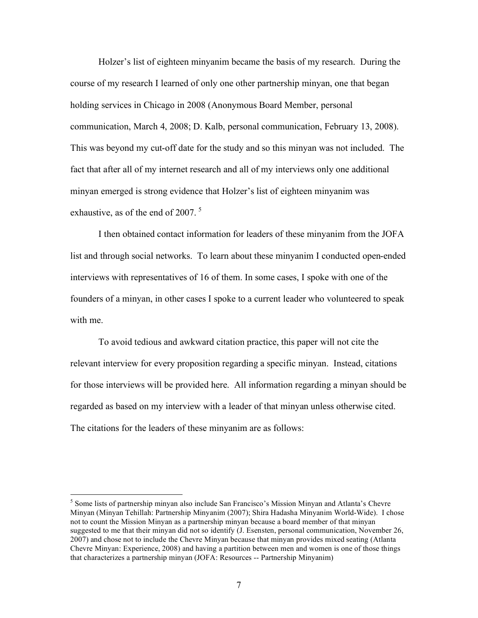Holzer's list of eighteen minyanim became the basis of my research. During the course of my research I learned of only one other partnership minyan, one that began holding services in Chicago in 2008 (Anonymous Board Member, personal communication, March 4, 2008; D. Kalb, personal communication, February 13, 2008). This was beyond my cut-off date for the study and so this minyan was not included. The fact that after all of my internet research and all of my interviews only one additional minyan emerged is strong evidence that Holzer's list of eighteen minyanim was exhaustive, as of the end of 2007.<sup>5</sup>

I then obtained contact information for leaders of these minyanim from the JOFA list and through social networks. To learn about these minyanim I conducted open-ended interviews with representatives of 16 of them. In some cases, I spoke with one of the founders of a minyan, in other cases I spoke to a current leader who volunteered to speak with me.

To avoid tedious and awkward citation practice, this paper will not cite the relevant interview for every proposition regarding a specific minyan. Instead, citations for those interviews will be provided here. All information regarding a minyan should be regarded as based on my interview with a leader of that minyan unless otherwise cited. The citations for the leaders of these minyanim are as follows:

 <sup>5</sup>  $<sup>5</sup>$  Some lists of partnership minyan also include San Francisco's Mission Minyan and Atlanta's Chevre</sup> Minyan (Minyan Tehillah: Partnership Minyanim (2007); Shira Hadasha Minyanim World-Wide). I chose not to count the Mission Minyan as a partnership minyan because a board member of that minyan suggested to me that their minyan did not so identify (J. Esensten, personal communication, November 26, 2007) and chose not to include the Chevre Minyan because that minyan provides mixed seating (Atlanta Chevre Minyan: Experience, 2008) and having a partition between men and women is one of those things that characterizes a partnership minyan (JOFA: Resources -- Partnership Minyanim)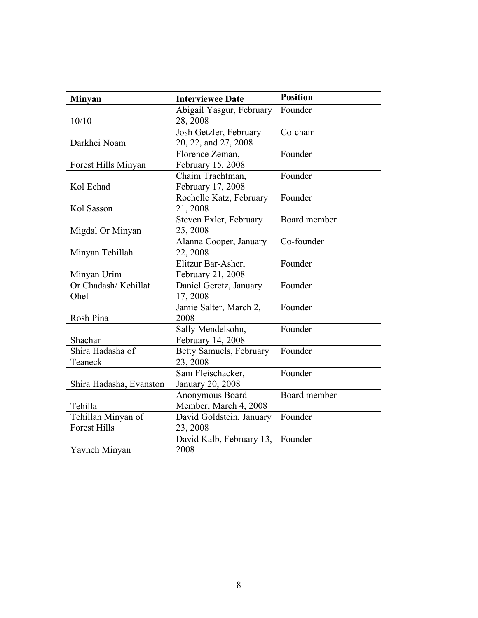| <b>Minyan</b>           | <b>Interviewee Date</b>  | <b>Position</b> |  |
|-------------------------|--------------------------|-----------------|--|
|                         | Abigail Yasgur, February | Founder         |  |
| 10/10                   | 28, 2008                 |                 |  |
|                         | Josh Getzler, February   | Co-chair        |  |
| Darkhei Noam            | 20, 22, and 27, 2008     |                 |  |
|                         | Florence Zeman,          | Founder         |  |
| Forest Hills Minyan     | February 15, 2008        |                 |  |
|                         | Chaim Trachtman,         | Founder         |  |
| Kol Echad               | February 17, 2008        |                 |  |
|                         | Rochelle Katz, February  | Founder         |  |
| Kol Sasson              | 21, 2008                 |                 |  |
|                         | Steven Exler, February   | Board member    |  |
| Migdal Or Minyan        | 25, 2008                 |                 |  |
|                         | Alanna Cooper, January   | Co-founder      |  |
| Minyan Tehillah         | 22, 2008                 |                 |  |
|                         | Elitzur Bar-Asher,       | Founder         |  |
| Minyan Urim             | February 21, 2008        |                 |  |
| Or Chadash/Kehillat     | Daniel Geretz, January   | Founder         |  |
| Ohel                    | 17, 2008                 |                 |  |
|                         | Jamie Salter, March 2,   | Founder         |  |
| Rosh Pina               | 2008                     |                 |  |
|                         | Sally Mendelsohn,        | Founder         |  |
| Shachar                 | February 14, 2008        |                 |  |
| Shira Hadasha of        | Betty Samuels, February  | Founder         |  |
| Teaneck                 | 23, 2008                 |                 |  |
|                         | Sam Fleischacker,        | Founder         |  |
| Shira Hadasha, Evanston | January 20, 2008         |                 |  |
|                         | Anonymous Board          | Board member    |  |
| Tehilla                 | Member, March 4, 2008    |                 |  |
| Tehillah Minyan of      | David Goldstein, January | Founder         |  |
| <b>Forest Hills</b>     | 23, 2008                 |                 |  |
|                         | David Kalb, February 13, | Founder         |  |
| Yavneh Minyan           | 2008                     |                 |  |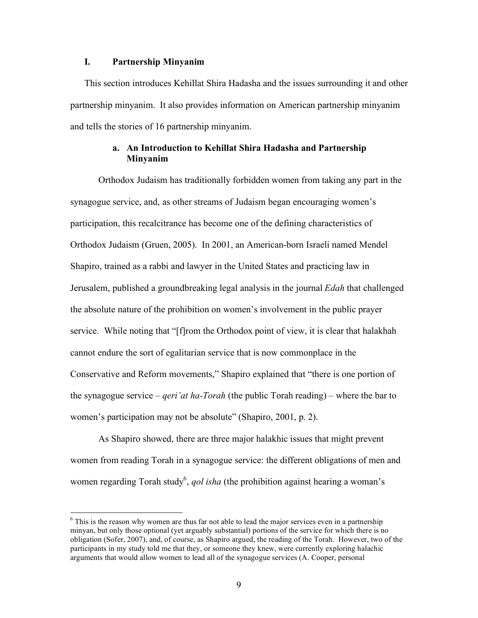### **I. Partnership Minyanim**

This section introduces Kehillat Shira Hadasha and the issues surrounding it and other partnership minyanim. It also provides information on American partnership minyanim and tells the stories of 16 partnership minyanim.

### **a. An Introduction to Kehillat Shira Hadasha and Partnership Minyanim**

Orthodox Judaism has traditionally forbidden women from taking any part in the synagogue service, and, as other streams of Judaism began encouraging women's participation, this recalcitrance has become one of the defining characteristics of Orthodox Judaism (Gruen, 2005). In 2001, an American-born Israeli named Mendel Shapiro, trained as a rabbi and lawyer in the United States and practicing law in Jerusalem, published a groundbreaking legal analysis in the journal *Edah* that challenged the absolute nature of the prohibition on women's involvement in the public prayer service. While noting that "[f]rom the Orthodox point of view, it is clear that halakhah cannot endure the sort of egalitarian service that is now commonplace in the Conservative and Reform movements," Shapiro explained that "there is one portion of the synagogue service – *qeri'at ha-Torah* (the public Torah reading) – where the bar to women's participation may not be absolute" (Shapiro, 2001, p. 2).

As Shapiro showed, there are three major halakhic issues that might prevent women from reading Torah in a synagogue service: the different obligations of men and women regarding Torah study<sup>6</sup>, *qol isha* (the prohibition against hearing a woman's

 <sup>6</sup>  $6$  This is the reason why women are thus far not able to lead the major services even in a partnership minyan, but only those optional (yet arguably substantial) portions of the service for which there is no obligation (Sofer, 2007), and, of course, as Shapiro argued, the reading of the Torah. However, two of the participants in my study told me that they, or someone they knew, were currently exploring halachic arguments that would allow women to lead all of the synagogue services (A. Cooper, personal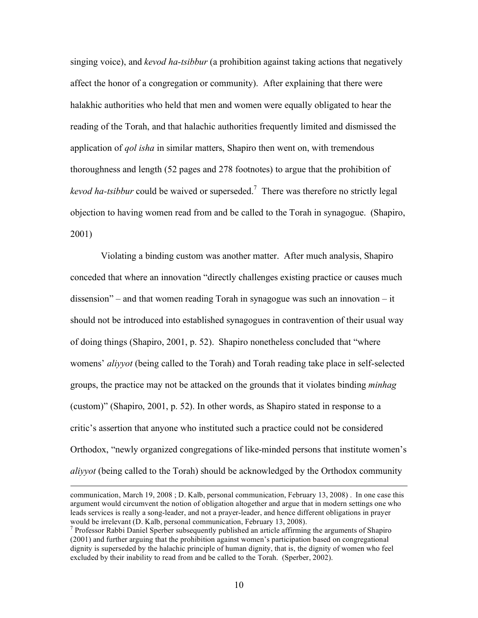singing voice), and *kevod ha-tsibbur* (a prohibition against taking actions that negatively affect the honor of a congregation or community). After explaining that there were halakhic authorities who held that men and women were equally obligated to hear the reading of the Torah, and that halachic authorities frequently limited and dismissed the application of *qol isha* in similar matters, Shapiro then went on, with tremendous thoroughness and length (52 pages and 278 footnotes) to argue that the prohibition of kevod ha-tsibbur could be waived or superseded.<sup>7</sup> There was therefore no strictly legal objection to having women read from and be called to the Torah in synagogue. (Shapiro, 2001)

 Violating a binding custom was another matter. After much analysis, Shapiro conceded that where an innovation "directly challenges existing practice or causes much dissension" – and that women reading Torah in synagogue was such an innovation – it should not be introduced into established synagogues in contravention of their usual way of doing things (Shapiro, 2001, p. 52). Shapiro nonetheless concluded that "where womens' *aliyyot* (being called to the Torah) and Torah reading take place in self-selected groups, the practice may not be attacked on the grounds that it violates binding *minhag* (custom)" (Shapiro, 2001, p. 52). In other words, as Shapiro stated in response to a critic's assertion that anyone who instituted such a practice could not be considered Orthodox, "newly organized congregations of like-minded persons that institute women's *aliyyot* (being called to the Torah) should be acknowledged by the Orthodox community

 $\overline{a}$ 

communication, March 19, 2008 ; D. Kalb, personal communication, February 13, 2008) . In one case this argument would circumvent the notion of obligation altogether and argue that in modern settings one who leads services is really a song-leader, and not a prayer-leader, and hence different obligations in prayer would be irrelevant (D. Kalb, personal communication, February 13, 2008).

<sup>&</sup>lt;sup>7</sup> Professor Rabbi Daniel Sperber subsequently published an article affirming the arguments of Shapiro (2001) and further arguing that the prohibition against women's participation based on congregational dignity is superseded by the halachic principle of human dignity, that is, the dignity of women who feel excluded by their inability to read from and be called to the Torah. (Sperber, 2002).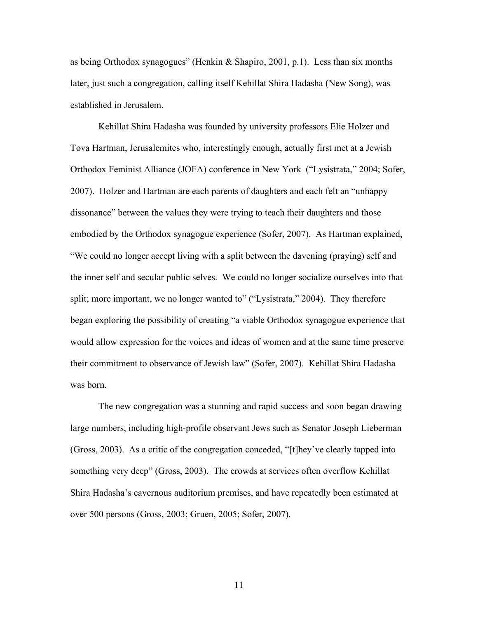as being Orthodox synagogues" (Henkin & Shapiro, 2001, p.1). Less than six months later, just such a congregation, calling itself Kehillat Shira Hadasha (New Song), was established in Jerusalem.

Kehillat Shira Hadasha was founded by university professors Elie Holzer and Tova Hartman, Jerusalemites who, interestingly enough, actually first met at a Jewish Orthodox Feminist Alliance (JOFA) conference in New York ("Lysistrata," 2004; Sofer, 2007). Holzer and Hartman are each parents of daughters and each felt an "unhappy dissonance" between the values they were trying to teach their daughters and those embodied by the Orthodox synagogue experience (Sofer, 2007). As Hartman explained, "We could no longer accept living with a split between the davening (praying) self and the inner self and secular public selves. We could no longer socialize ourselves into that split; more important, we no longer wanted to" ("Lysistrata," 2004). They therefore began exploring the possibility of creating "a viable Orthodox synagogue experience that would allow expression for the voices and ideas of women and at the same time preserve their commitment to observance of Jewish law" (Sofer, 2007). Kehillat Shira Hadasha was born.

The new congregation was a stunning and rapid success and soon began drawing large numbers, including high-profile observant Jews such as Senator Joseph Lieberman (Gross, 2003). As a critic of the congregation conceded, "[t]hey've clearly tapped into something very deep" (Gross, 2003). The crowds at services often overflow Kehillat Shira Hadasha's cavernous auditorium premises, and have repeatedly been estimated at over 500 persons (Gross, 2003; Gruen, 2005; Sofer, 2007).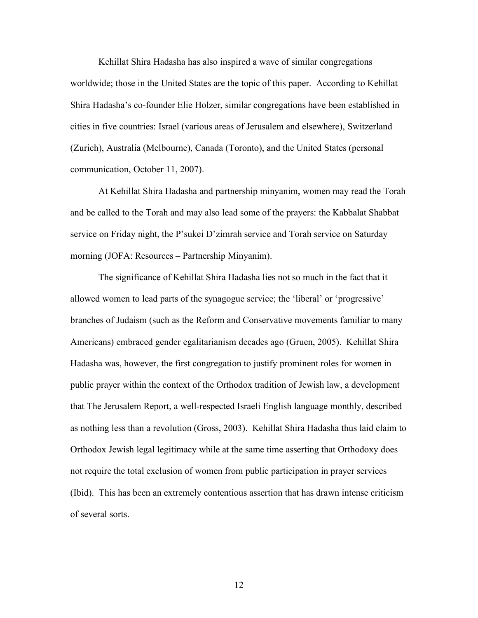Kehillat Shira Hadasha has also inspired a wave of similar congregations worldwide; those in the United States are the topic of this paper. According to Kehillat Shira Hadasha's co-founder Elie Holzer, similar congregations have been established in cities in five countries: Israel (various areas of Jerusalem and elsewhere), Switzerland (Zurich), Australia (Melbourne), Canada (Toronto), and the United States (personal communication, October 11, 2007).

At Kehillat Shira Hadasha and partnership minyanim, women may read the Torah and be called to the Torah and may also lead some of the prayers: the Kabbalat Shabbat service on Friday night, the P'sukei D'zimrah service and Torah service on Saturday morning (JOFA: Resources – Partnership Minyanim).

The significance of Kehillat Shira Hadasha lies not so much in the fact that it allowed women to lead parts of the synagogue service; the 'liberal' or 'progressive' branches of Judaism (such as the Reform and Conservative movements familiar to many Americans) embraced gender egalitarianism decades ago (Gruen, 2005). Kehillat Shira Hadasha was, however, the first congregation to justify prominent roles for women in public prayer within the context of the Orthodox tradition of Jewish law, a development that The Jerusalem Report, a well-respected Israeli English language monthly, described as nothing less than a revolution (Gross, 2003). Kehillat Shira Hadasha thus laid claim to Orthodox Jewish legal legitimacy while at the same time asserting that Orthodoxy does not require the total exclusion of women from public participation in prayer services (Ibid). This has been an extremely contentious assertion that has drawn intense criticism of several sorts.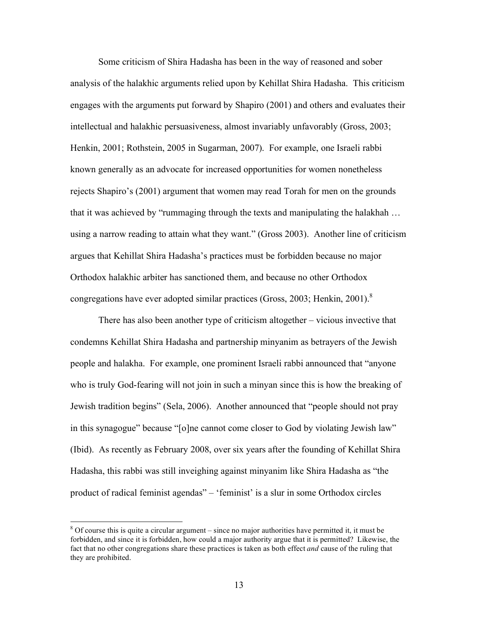Some criticism of Shira Hadasha has been in the way of reasoned and sober analysis of the halakhic arguments relied upon by Kehillat Shira Hadasha. This criticism engages with the arguments put forward by Shapiro (2001) and others and evaluates their intellectual and halakhic persuasiveness, almost invariably unfavorably (Gross, 2003; Henkin, 2001; Rothstein, 2005 in Sugarman, 2007). For example, one Israeli rabbi known generally as an advocate for increased opportunities for women nonetheless rejects Shapiro's (2001) argument that women may read Torah for men on the grounds that it was achieved by "rummaging through the texts and manipulating the halakhah … using a narrow reading to attain what they want." (Gross 2003). Another line of criticism argues that Kehillat Shira Hadasha's practices must be forbidden because no major Orthodox halakhic arbiter has sanctioned them, and because no other Orthodox congregations have ever adopted similar practices (Gross, 2003; Henkin, 2001).<sup>8</sup>

There has also been another type of criticism altogether – vicious invective that condemns Kehillat Shira Hadasha and partnership minyanim as betrayers of the Jewish people and halakha. For example, one prominent Israeli rabbi announced that "anyone who is truly God-fearing will not join in such a minyan since this is how the breaking of Jewish tradition begins" (Sela, 2006). Another announced that "people should not pray in this synagogue" because "[o]ne cannot come closer to God by violating Jewish law" (Ibid). As recently as February 2008, over six years after the founding of Kehillat Shira Hadasha, this rabbi was still inveighing against minyanim like Shira Hadasha as "the product of radical feminist agendas" – 'feminist' is a slur in some Orthodox circles

 <sup>8</sup>  $\delta$  Of course this is quite a circular argument – since no major authorities have permitted it, it must be forbidden, and since it is forbidden, how could a major authority argue that it is permitted? Likewise, the fact that no other congregations share these practices is taken as both effect *and* cause of the ruling that they are prohibited.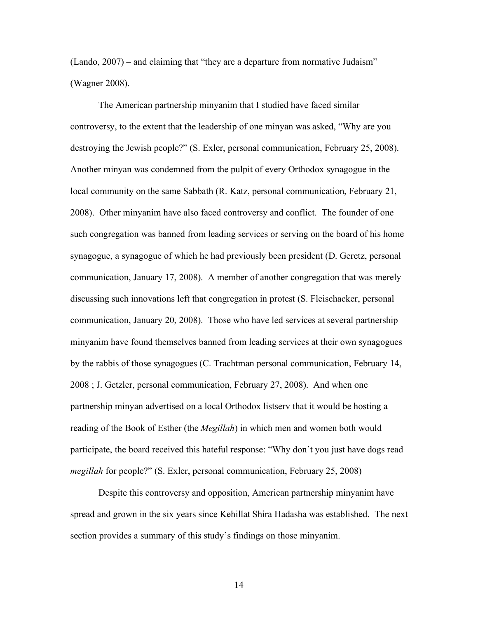(Lando, 2007) – and claiming that "they are a departure from normative Judaism" (Wagner 2008).

The American partnership minyanim that I studied have faced similar controversy, to the extent that the leadership of one minyan was asked, "Why are you destroying the Jewish people?" (S. Exler, personal communication, February 25, 2008). Another minyan was condemned from the pulpit of every Orthodox synagogue in the local community on the same Sabbath (R. Katz, personal communication, February 21, 2008). Other minyanim have also faced controversy and conflict. The founder of one such congregation was banned from leading services or serving on the board of his home synagogue, a synagogue of which he had previously been president (D. Geretz, personal communication, January 17, 2008). A member of another congregation that was merely discussing such innovations left that congregation in protest (S. Fleischacker, personal communication, January 20, 2008). Those who have led services at several partnership minyanim have found themselves banned from leading services at their own synagogues by the rabbis of those synagogues (C. Trachtman personal communication, February 14, 2008 ; J. Getzler, personal communication, February 27, 2008). And when one partnership minyan advertised on a local Orthodox listserv that it would be hosting a reading of the Book of Esther (the *Megillah*) in which men and women both would participate, the board received this hateful response: "Why don't you just have dogs read *megillah* for people?" (S. Exler, personal communication, February 25, 2008)

Despite this controversy and opposition, American partnership minyanim have spread and grown in the six years since Kehillat Shira Hadasha was established. The next section provides a summary of this study's findings on those minyanim.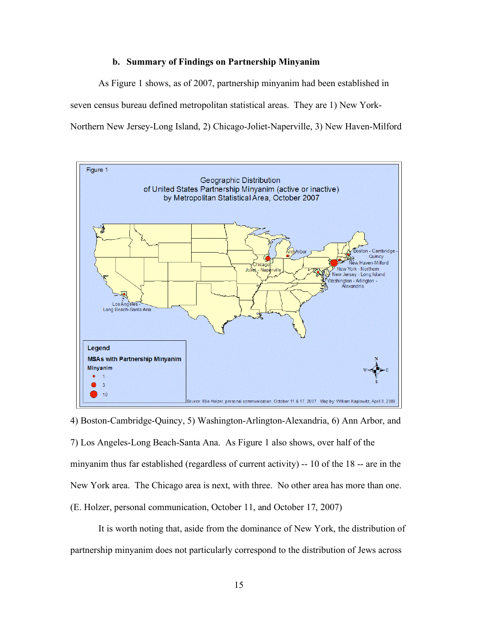#### **b. Summary of Findings on Partnership Minyanim**

As Figure 1 shows, as of 2007, partnership minyanim had been established in seven census bureau defined metropolitan statistical areas. They are 1) New York-Northern New Jersey-Long Island, 2) Chicago-Joliet-Naperville, 3) New Haven-Milford



4) Boston-Cambridge-Quincy, 5) Washington-Arlington-Alexandria, 6) Ann Arbor, and 7) Los Angeles-Long Beach-Santa Ana. As Figure 1 also shows, over half of the minyanim thus far established (regardless of current activity) -- 10 of the 18 -- are in the New York area. The Chicago area is next, with three. No other area has more than one. (E. Holzer, personal communication, October 11, and October 17, 2007)

It is worth noting that, aside from the dominance of New York, the distribution of partnership minyanim does not particularly correspond to the distribution of Jews across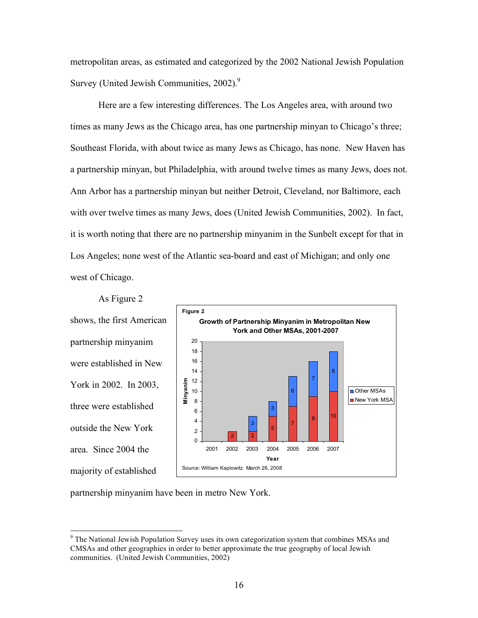metropolitan areas, as estimated and categorized by the 2002 National Jewish Population Survey (United Jewish Communities,  $2002$ ).<sup>9</sup>

Here are a few interesting differences. The Los Angeles area, with around two times as many Jews as the Chicago area, has one partnership minyan to Chicago's three; Southeast Florida, with about twice as many Jews as Chicago, has none. New Haven has a partnership minyan, but Philadelphia, with around twelve times as many Jews, does not. Ann Arbor has a partnership minyan but neither Detroit, Cleveland, nor Baltimore, each with over twelve times as many Jews, does (United Jewish Communities, 2002). In fact, it is worth noting that there are no partnership minyanim in the Sunbelt except for that in Los Angeles; none west of the Atlantic sea-board and east of Michigan; and only one west of Chicago.

shows, the first American partnership minyanim were established in New York in 2002. In 2003, three were established outside the New York area. Since 2004 the majority of established 0 2 4 6 8 10 12 14 16 18 20 **Minyanim Figure 2**

As Figure 2



partnership minyanim have been in metro New York.

<sup>-&</sup>lt;br>9 <sup>9</sup> The National Jewish Population Survey uses its own categorization system that combines MSAs and CMSAs and other geographies in order to better approximate the true geography of local Jewish communities. (United Jewish Communities, 2002)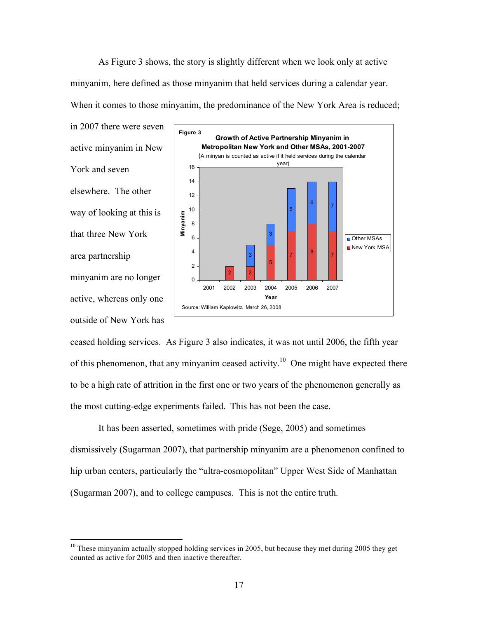As Figure 3 shows, the story is slightly different when we look only at active minyanim, here defined as those minyanim that held services during a calendar year. When it comes to those minyanim, the predominance of the New York Area is reduced;

in 2007 there were seven active minyanim in New York and seven elsewhere. The other way of looking at this is that three New York area partnership minyanim are no longer active, whereas only one outside of New York has



ceased holding services. As Figure 3 also indicates, it was not until 2006, the fifth year of this phenomenon, that any minyanim ceased activity.<sup>10</sup> One might have expected there to be a high rate of attrition in the first one or two years of the phenomenon generally as the most cutting-edge experiments failed. This has not been the case.

It has been asserted, sometimes with pride (Sege, 2005) and sometimes dismissively (Sugarman 2007), that partnership minyanim are a phenomenon confined to hip urban centers, particularly the "ultra-cosmopolitan" Upper West Side of Manhattan (Sugarman 2007), and to college campuses. This is not the entire truth.

 $10$  These minyanim actually stopped holding services in 2005, but because they met during 2005 they get counted as active for 2005 and then inactive thereafter.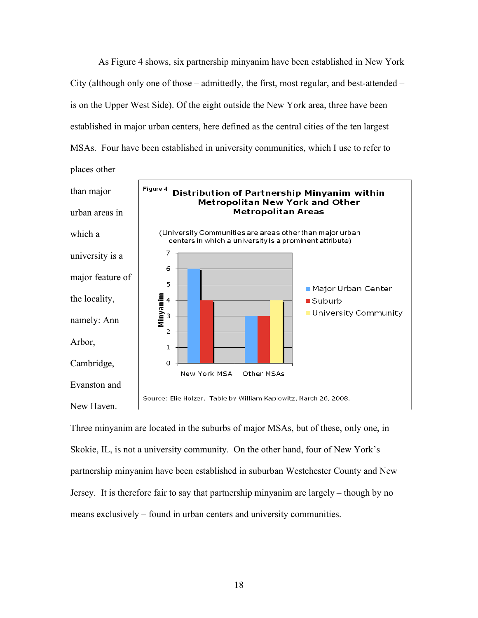As Figure 4 shows, six partnership minyanim have been established in New York City (although only one of those – admittedly, the first, most regular, and best-attended – is on the Upper West Side). Of the eight outside the New York area, three have been established in major urban centers, here defined as the central cities of the ten largest MSAs. Four have been established in university communities, which I use to refer to



Three minyanim are located in the suburbs of major MSAs, but of these, only one, in Skokie, IL, is not a university community. On the other hand, four of New York's partnership minyanim have been established in suburban Westchester County and New Jersey. It is therefore fair to say that partnership minyanim are largely – though by no means exclusively – found in urban centers and university communities.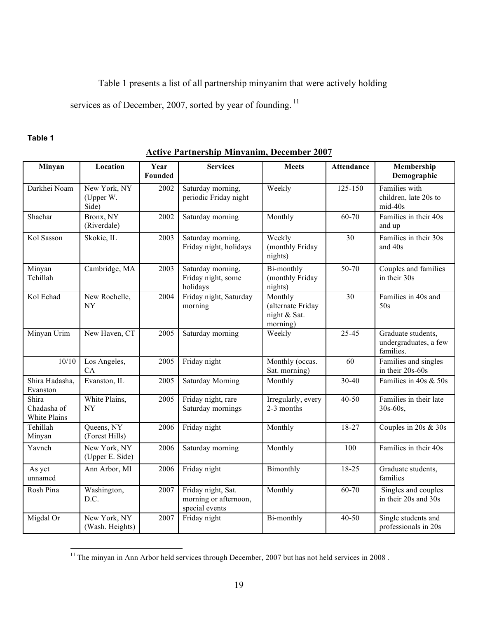# Table 1 presents a list of all partnership minyanim that were actively holding

services as of December, 2007, sorted by year of founding.<sup>11</sup>

## **Table 1**

| Minyan                               | Location                           | Year<br>Founded | <b>Services</b>                                               | <b>Meets</b>                                             | <b>Attendance</b> | Membership<br>Demographic                                |
|--------------------------------------|------------------------------------|-----------------|---------------------------------------------------------------|----------------------------------------------------------|-------------------|----------------------------------------------------------|
| Darkhei Noam                         | New York, NY<br>(Upper W.<br>Side) | 2002            | Saturday morning,<br>periodic Friday night                    | Weekly                                                   | 125-150           | Families with<br>children, late 20s to<br>$mid-40s$      |
| Shachar                              | Bronx, NY<br>(Riverdale)           | 2002            | Saturday morning                                              | Monthly                                                  | $60 - 70$         | Families in their 40s<br>and up                          |
| Kol Sasson                           | Skokie, IL                         | 2003            | Saturday morning,<br>Friday night, holidays                   | Weekly<br>(monthly Friday<br>nights)                     | 30                | Families in their 30s<br>and 40s                         |
| Minyan<br>Tehillah                   | Cambridge, MA                      | 2003            | Saturday morning,<br>Friday night, some<br>holidays           | Bi-monthly<br>(monthly Friday<br>nights)                 | $50 - 70$         | Couples and families<br>in their 30s                     |
| Kol Echad                            | New Rochelle,<br>NY                | 2004            | Friday night, Saturday<br>morning                             | Monthly<br>(alternate Friday<br>night & Sat.<br>morning) | $\overline{30}$   | Families in 40s and<br>50s                               |
| Minyan Urim                          | New Haven, CT                      | 2005            | Saturday morning                                              | Weekly                                                   | $25 - 45$         | Graduate students,<br>undergraduates, a few<br>families. |
| 10/10                                | Los Angeles,<br>CA                 | 2005            | Friday night                                                  | Monthly (occas.<br>Sat. morning)                         | 60                | Families and singles<br>in their 20s-60s                 |
| Shira Hadasha,<br>Evanston           | Evanston, IL                       | 2005            | <b>Saturday Morning</b>                                       | Monthly                                                  | 30-40             | Families in 40s & 50s                                    |
| Shira<br>Chadasha of<br>White Plains | White Plains,<br>NY                | 2005            | Friday night, rare<br>Saturday mornings                       | Irregularly, every<br>2-3 months                         | 40-50             | Families in their late<br>$30s - 60s$ ,                  |
| Tehillah<br>Minyan                   | Queens, NY<br>(Forest Hills)       | 2006            | Friday night                                                  | Monthly                                                  | $18 - 27$         | Couples in $20s \& 30s$                                  |
| Yavneh                               | New York, NY<br>(Upper E. Side)    | 2006            | Saturday morning                                              | Monthly                                                  | 100               | Families in their 40s                                    |
| As yet<br>unnamed                    | Ann Arbor, MI                      | 2006            | Friday night                                                  | Bimonthly                                                | 18-25             | Graduate students,<br>families                           |
| Rosh Pina                            | Washington,<br>D.C.                | 2007            | Friday night, Sat.<br>morning or afternoon,<br>special events | Monthly                                                  | 60-70             | Singles and couples<br>in their 20s and 30s              |
| Migdal Or                            | New York, NY<br>(Wash. Heights)    | 2007            | Friday night                                                  | Bi-monthly                                               | $40 - 50$         | Single students and<br>professionals in 20s              |

 $\frac{11}{11}$  The minyan in Ann Arbor held services through December, 2007 but has not held services in 2008.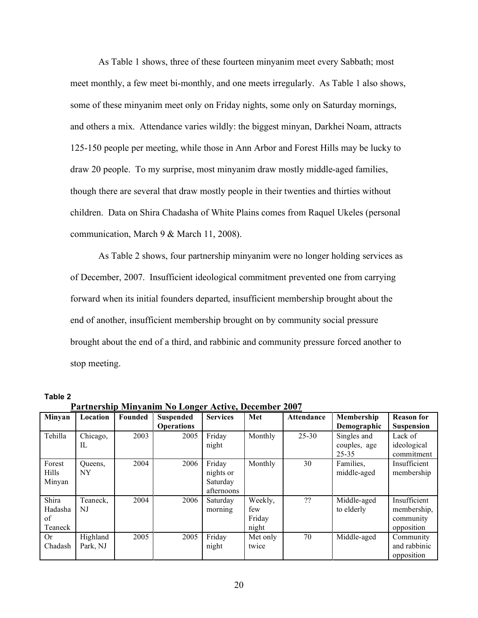As Table 1 shows, three of these fourteen minyanim meet every Sabbath; most meet monthly, a few meet bi-monthly, and one meets irregularly. As Table 1 also shows, some of these minyanim meet only on Friday nights, some only on Saturday mornings, and others a mix. Attendance varies wildly: the biggest minyan, Darkhei Noam, attracts 125-150 people per meeting, while those in Ann Arbor and Forest Hills may be lucky to draw 20 people. To my surprise, most minyanim draw mostly middle-aged families, though there are several that draw mostly people in their twenties and thirties without children. Data on Shira Chadasha of White Plains comes from Raquel Ukeles (personal communication, March 9 & March 11, 2008).

As Table 2 shows, four partnership minyanim were no longer holding services as of December, 2007. Insufficient ideological commitment prevented one from carrying forward when its initial founders departed, insufficient membership brought about the end of another, insufficient membership brought on by community social pressure brought about the end of a third, and rabbinic and community pressure forced another to stop meeting.

| I al ultroup mint, anno 130 Evilger Tierre, Deceniber 2007 |          |         |                   |                 |          |                   |              |                   |
|------------------------------------------------------------|----------|---------|-------------------|-----------------|----------|-------------------|--------------|-------------------|
| Minyan                                                     | Location | Founded | <b>Suspended</b>  | <b>Services</b> | Met      | <b>Attendance</b> | Membership   | <b>Reason for</b> |
|                                                            |          |         | <b>Operations</b> |                 |          |                   | Demographic  | <b>Suspension</b> |
| Tehilla                                                    | Chicago, | 2003    | 2005              | Friday          | Monthly  | $25 - 30$         | Singles and  | Lack of           |
|                                                            | $\Pi$ .  |         |                   | night           |          |                   | couples, age | ideological       |
|                                                            |          |         |                   |                 |          |                   | 25-35        | commitment        |
| Forest                                                     | Queens.  | 2004    | 2006              | Friday          | Monthly  | 30                | Families,    | Insufficient      |
| <b>Hills</b>                                               | NY       |         |                   | nights or       |          |                   | middle-aged  | membership        |
| Minyan                                                     |          |         |                   | Saturday        |          |                   |              |                   |
|                                                            |          |         |                   | afternoons      |          |                   |              |                   |
| Shira                                                      | Teaneck, | 2004    | 2006              | Saturday        | Weekly,  | ??                | Middle-aged  | Insufficient      |
| Hadasha                                                    | NJ       |         |                   | morning         | few      |                   | to elderly   | membership,       |
| of                                                         |          |         |                   |                 | Friday   |                   |              | community         |
| Teaneck                                                    |          |         |                   |                 | night    |                   |              | opposition        |
| <b>Or</b>                                                  | Highland | 2005    | 2005              | Friday          | Met only | 70                | Middle-aged  | Community         |
| Chadash                                                    | Park, NJ |         |                   | night           | twice    |                   |              | and rabbinic      |
|                                                            |          |         |                   |                 |          |                   |              | opposition        |

**Table 2**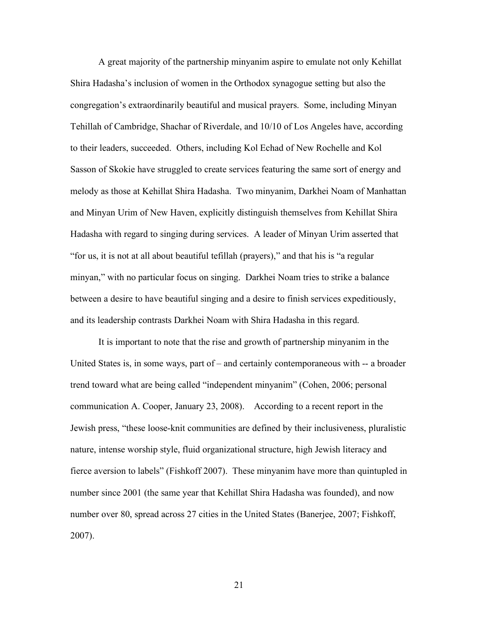A great majority of the partnership minyanim aspire to emulate not only Kehillat Shira Hadasha's inclusion of women in the Orthodox synagogue setting but also the congregation's extraordinarily beautiful and musical prayers. Some, including Minyan Tehillah of Cambridge, Shachar of Riverdale, and 10/10 of Los Angeles have, according to their leaders, succeeded. Others, including Kol Echad of New Rochelle and Kol Sasson of Skokie have struggled to create services featuring the same sort of energy and melody as those at Kehillat Shira Hadasha. Two minyanim, Darkhei Noam of Manhattan and Minyan Urim of New Haven, explicitly distinguish themselves from Kehillat Shira Hadasha with regard to singing during services. A leader of Minyan Urim asserted that "for us, it is not at all about beautiful tefillah (prayers)," and that his is "a regular minyan," with no particular focus on singing. Darkhei Noam tries to strike a balance between a desire to have beautiful singing and a desire to finish services expeditiously, and its leadership contrasts Darkhei Noam with Shira Hadasha in this regard.

It is important to note that the rise and growth of partnership minyanim in the United States is, in some ways, part of – and certainly contemporaneous with -- a broader trend toward what are being called "independent minyanim" (Cohen, 2006; personal communication A. Cooper, January 23, 2008). According to a recent report in the Jewish press, "these loose-knit communities are defined by their inclusiveness, pluralistic nature, intense worship style, fluid organizational structure, high Jewish literacy and fierce aversion to labels" (Fishkoff 2007). These minyanim have more than quintupled in number since 2001 (the same year that Kehillat Shira Hadasha was founded), and now number over 80, spread across 27 cities in the United States (Banerjee, 2007; Fishkoff, 2007).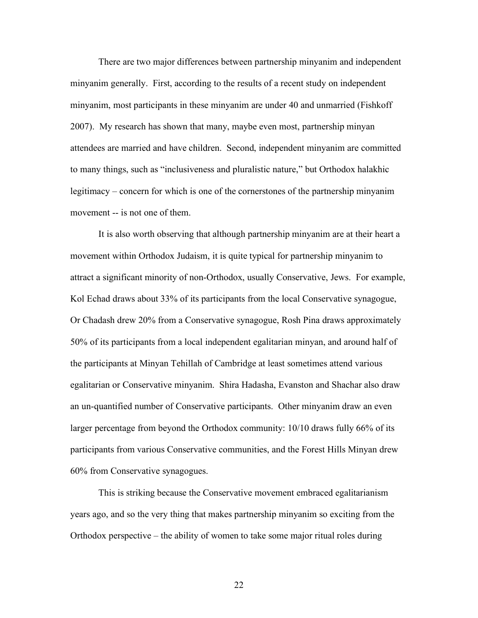There are two major differences between partnership minyanim and independent minyanim generally. First, according to the results of a recent study on independent minyanim, most participants in these minyanim are under 40 and unmarried (Fishkoff 2007). My research has shown that many, maybe even most, partnership minyan attendees are married and have children. Second, independent minyanim are committed to many things, such as "inclusiveness and pluralistic nature," but Orthodox halakhic legitimacy – concern for which is one of the cornerstones of the partnership minyanim movement -- is not one of them.

It is also worth observing that although partnership minyanim are at their heart a movement within Orthodox Judaism, it is quite typical for partnership minyanim to attract a significant minority of non-Orthodox, usually Conservative, Jews. For example, Kol Echad draws about 33% of its participants from the local Conservative synagogue, Or Chadash drew 20% from a Conservative synagogue, Rosh Pina draws approximately 50% of its participants from a local independent egalitarian minyan, and around half of the participants at Minyan Tehillah of Cambridge at least sometimes attend various egalitarian or Conservative minyanim. Shira Hadasha, Evanston and Shachar also draw an un-quantified number of Conservative participants. Other minyanim draw an even larger percentage from beyond the Orthodox community: 10/10 draws fully 66% of its participants from various Conservative communities, and the Forest Hills Minyan drew 60% from Conservative synagogues.

This is striking because the Conservative movement embraced egalitarianism years ago, and so the very thing that makes partnership minyanim so exciting from the Orthodox perspective – the ability of women to take some major ritual roles during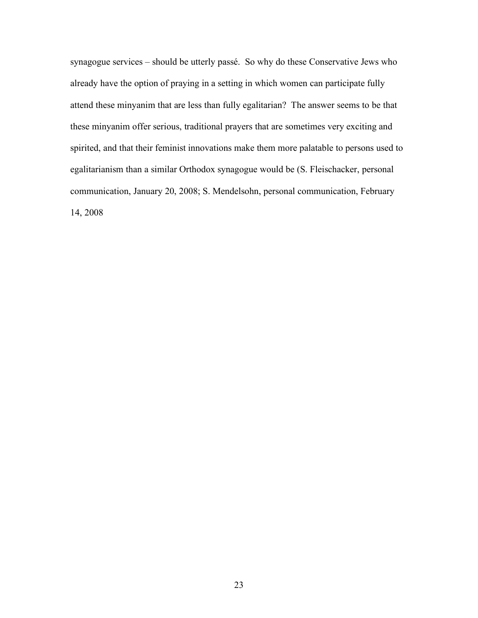synagogue services – should be utterly passé. So why do these Conservative Jews who already have the option of praying in a setting in which women can participate fully attend these minyanim that are less than fully egalitarian? The answer seems to be that these minyanim offer serious, traditional prayers that are sometimes very exciting and spirited, and that their feminist innovations make them more palatable to persons used to egalitarianism than a similar Orthodox synagogue would be (S. Fleischacker, personal communication, January 20, 2008; S. Mendelsohn, personal communication, February 14, 2008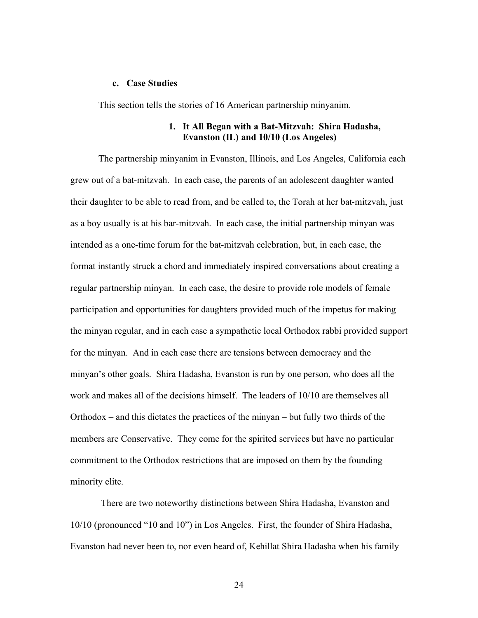#### **c. Case Studies**

This section tells the stories of 16 American partnership minyanim.

## **1. It All Began with a Bat-Mitzvah: Shira Hadasha, Evanston (IL) and 10/10 (Los Angeles)**

The partnership minyanim in Evanston, Illinois, and Los Angeles, California each grew out of a bat-mitzvah. In each case, the parents of an adolescent daughter wanted their daughter to be able to read from, and be called to, the Torah at her bat-mitzvah, just as a boy usually is at his bar-mitzvah. In each case, the initial partnership minyan was intended as a one-time forum for the bat-mitzvah celebration, but, in each case, the format instantly struck a chord and immediately inspired conversations about creating a regular partnership minyan. In each case, the desire to provide role models of female participation and opportunities for daughters provided much of the impetus for making the minyan regular, and in each case a sympathetic local Orthodox rabbi provided support for the minyan. And in each case there are tensions between democracy and the minyan's other goals. Shira Hadasha, Evanston is run by one person, who does all the work and makes all of the decisions himself. The leaders of 10/10 are themselves all Orthodox – and this dictates the practices of the minyan – but fully two thirds of the members are Conservative. They come for the spirited services but have no particular commitment to the Orthodox restrictions that are imposed on them by the founding minority elite.

 There are two noteworthy distinctions between Shira Hadasha, Evanston and 10/10 (pronounced "10 and 10") in Los Angeles. First, the founder of Shira Hadasha, Evanston had never been to, nor even heard of, Kehillat Shira Hadasha when his family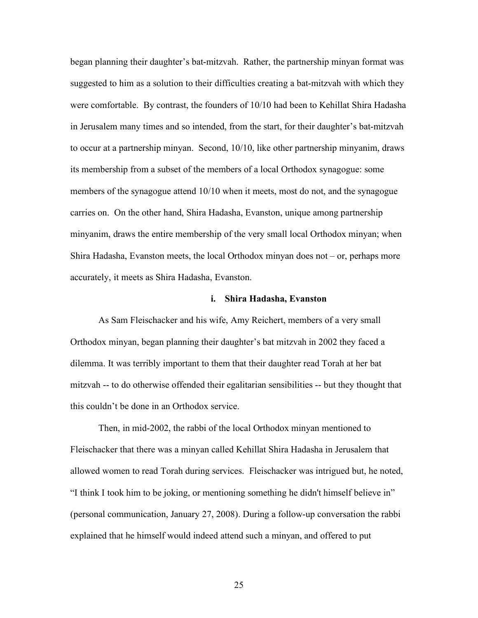began planning their daughter's bat-mitzvah. Rather, the partnership minyan format was suggested to him as a solution to their difficulties creating a bat-mitzvah with which they were comfortable. By contrast, the founders of 10/10 had been to Kehillat Shira Hadasha in Jerusalem many times and so intended, from the start, for their daughter's bat-mitzvah to occur at a partnership minyan. Second, 10/10, like other partnership minyanim, draws its membership from a subset of the members of a local Orthodox synagogue: some members of the synagogue attend 10/10 when it meets, most do not, and the synagogue carries on. On the other hand, Shira Hadasha, Evanston, unique among partnership minyanim, draws the entire membership of the very small local Orthodox minyan; when Shira Hadasha, Evanston meets, the local Orthodox minyan does not – or, perhaps more accurately, it meets as Shira Hadasha, Evanston.

### **i. Shira Hadasha, Evanston**

As Sam Fleischacker and his wife, Amy Reichert, members of a very small Orthodox minyan, began planning their daughter's bat mitzvah in 2002 they faced a dilemma. It was terribly important to them that their daughter read Torah at her bat mitzvah -- to do otherwise offended their egalitarian sensibilities -- but they thought that this couldn't be done in an Orthodox service.

Then, in mid-2002, the rabbi of the local Orthodox minyan mentioned to Fleischacker that there was a minyan called Kehillat Shira Hadasha in Jerusalem that allowed women to read Torah during services. Fleischacker was intrigued but, he noted, "I think I took him to be joking, or mentioning something he didn't himself believe in" (personal communication, January 27, 2008). During a follow-up conversation the rabbi explained that he himself would indeed attend such a minyan, and offered to put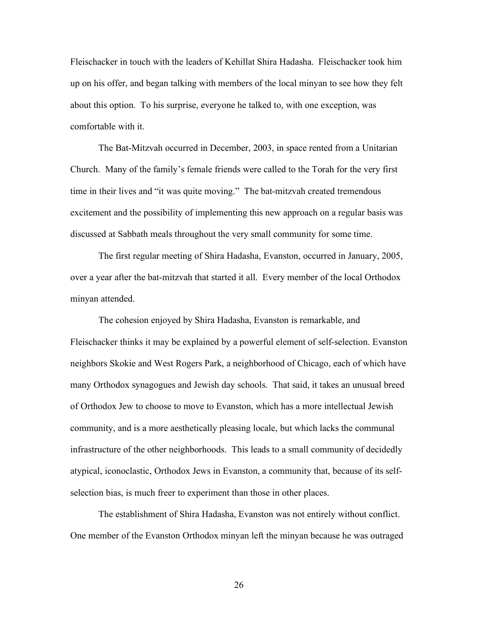Fleischacker in touch with the leaders of Kehillat Shira Hadasha. Fleischacker took him up on his offer, and began talking with members of the local minyan to see how they felt about this option. To his surprise, everyone he talked to, with one exception, was comfortable with it.

The Bat-Mitzvah occurred in December, 2003, in space rented from a Unitarian Church. Many of the family's female friends were called to the Torah for the very first time in their lives and "it was quite moving." The bat-mitzvah created tremendous excitement and the possibility of implementing this new approach on a regular basis was discussed at Sabbath meals throughout the very small community for some time.

The first regular meeting of Shira Hadasha, Evanston, occurred in January, 2005, over a year after the bat-mitzvah that started it all. Every member of the local Orthodox minyan attended.

The cohesion enjoyed by Shira Hadasha, Evanston is remarkable, and Fleischacker thinks it may be explained by a powerful element of self-selection. Evanston neighbors Skokie and West Rogers Park, a neighborhood of Chicago, each of which have many Orthodox synagogues and Jewish day schools. That said, it takes an unusual breed of Orthodox Jew to choose to move to Evanston, which has a more intellectual Jewish community, and is a more aesthetically pleasing locale, but which lacks the communal infrastructure of the other neighborhoods. This leads to a small community of decidedly atypical, iconoclastic, Orthodox Jews in Evanston, a community that, because of its selfselection bias, is much freer to experiment than those in other places.

The establishment of Shira Hadasha, Evanston was not entirely without conflict. One member of the Evanston Orthodox minyan left the minyan because he was outraged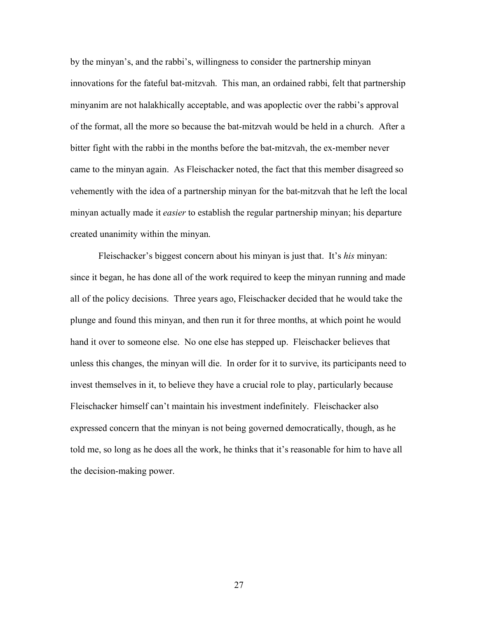by the minyan's, and the rabbi's, willingness to consider the partnership minyan innovations for the fateful bat-mitzvah. This man, an ordained rabbi, felt that partnership minyanim are not halakhically acceptable, and was apoplectic over the rabbi's approval of the format, all the more so because the bat-mitzvah would be held in a church. After a bitter fight with the rabbi in the months before the bat-mitzvah, the ex-member never came to the minyan again. As Fleischacker noted, the fact that this member disagreed so vehemently with the idea of a partnership minyan for the bat-mitzvah that he left the local minyan actually made it *easier* to establish the regular partnership minyan; his departure created unanimity within the minyan.

Fleischacker's biggest concern about his minyan is just that. It's *his* minyan: since it began, he has done all of the work required to keep the minyan running and made all of the policy decisions. Three years ago, Fleischacker decided that he would take the plunge and found this minyan, and then run it for three months, at which point he would hand it over to someone else. No one else has stepped up. Fleischacker believes that unless this changes, the minyan will die. In order for it to survive, its participants need to invest themselves in it, to believe they have a crucial role to play, particularly because Fleischacker himself can't maintain his investment indefinitely. Fleischacker also expressed concern that the minyan is not being governed democratically, though, as he told me, so long as he does all the work, he thinks that it's reasonable for him to have all the decision-making power.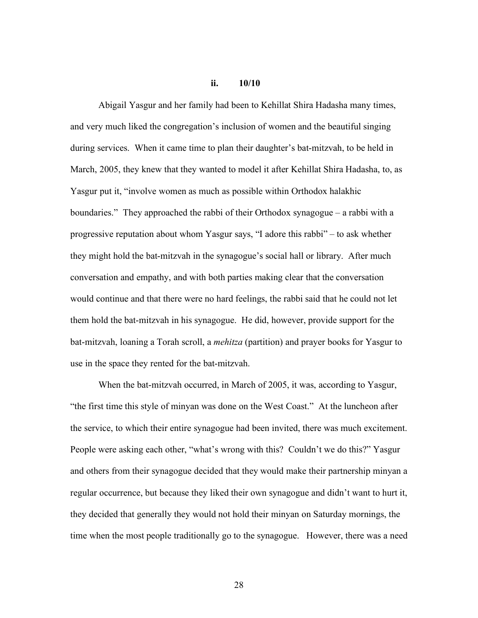## **ii. 10/10**

Abigail Yasgur and her family had been to Kehillat Shira Hadasha many times, and very much liked the congregation's inclusion of women and the beautiful singing during services. When it came time to plan their daughter's bat-mitzvah, to be held in March, 2005, they knew that they wanted to model it after Kehillat Shira Hadasha, to, as Yasgur put it, "involve women as much as possible within Orthodox halakhic boundaries." They approached the rabbi of their Orthodox synagogue – a rabbi with a progressive reputation about whom Yasgur says, "I adore this rabbi" – to ask whether they might hold the bat-mitzvah in the synagogue's social hall or library. After much conversation and empathy, and with both parties making clear that the conversation would continue and that there were no hard feelings, the rabbi said that he could not let them hold the bat-mitzvah in his synagogue. He did, however, provide support for the bat-mitzvah, loaning a Torah scroll, a *mehitza* (partition) and prayer books for Yasgur to use in the space they rented for the bat-mitzvah.

When the bat-mitzvah occurred, in March of 2005, it was, according to Yasgur, "the first time this style of minyan was done on the West Coast." At the luncheon after the service, to which their entire synagogue had been invited, there was much excitement. People were asking each other, "what's wrong with this? Couldn't we do this?" Yasgur and others from their synagogue decided that they would make their partnership minyan a regular occurrence, but because they liked their own synagogue and didn't want to hurt it, they decided that generally they would not hold their minyan on Saturday mornings, the time when the most people traditionally go to the synagogue. However, there was a need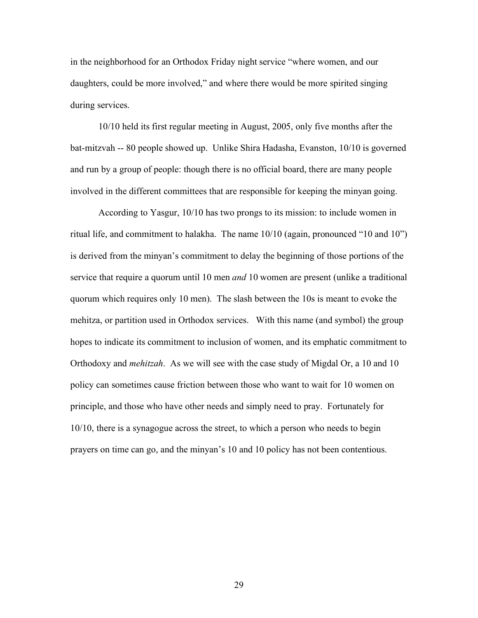in the neighborhood for an Orthodox Friday night service "where women, and our daughters, could be more involved," and where there would be more spirited singing during services.

10/10 held its first regular meeting in August, 2005, only five months after the bat-mitzvah -- 80 people showed up. Unlike Shira Hadasha, Evanston, 10/10 is governed and run by a group of people: though there is no official board, there are many people involved in the different committees that are responsible for keeping the minyan going.

According to Yasgur, 10/10 has two prongs to its mission: to include women in ritual life, and commitment to halakha. The name 10/10 (again, pronounced "10 and 10") is derived from the minyan's commitment to delay the beginning of those portions of the service that require a quorum until 10 men *and* 10 women are present (unlike a traditional quorum which requires only 10 men). The slash between the 10s is meant to evoke the mehitza, or partition used in Orthodox services. With this name (and symbol) the group hopes to indicate its commitment to inclusion of women, and its emphatic commitment to Orthodoxy and *mehitzah*. As we will see with the case study of Migdal Or, a 10 and 10 policy can sometimes cause friction between those who want to wait for 10 women on principle, and those who have other needs and simply need to pray. Fortunately for 10/10, there is a synagogue across the street, to which a person who needs to begin prayers on time can go, and the minyan's 10 and 10 policy has not been contentious.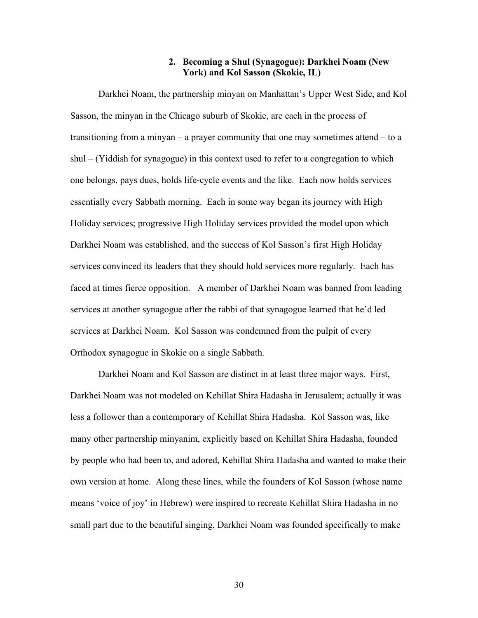## **2. Becoming a Shul (Synagogue): Darkhei Noam (New York) and Kol Sasson (Skokie, IL)**

Darkhei Noam, the partnership minyan on Manhattan's Upper West Side, and Kol Sasson, the minyan in the Chicago suburb of Skokie, are each in the process of transitioning from a minyan – a prayer community that one may sometimes attend – to a shul – (Yiddish for synagogue) in this context used to refer to a congregation to which one belongs, pays dues, holds life-cycle events and the like. Each now holds services essentially every Sabbath morning. Each in some way began its journey with High Holiday services; progressive High Holiday services provided the model upon which Darkhei Noam was established, and the success of Kol Sasson's first High Holiday services convinced its leaders that they should hold services more regularly. Each has faced at times fierce opposition. A member of Darkhei Noam was banned from leading services at another synagogue after the rabbi of that synagogue learned that he'd led services at Darkhei Noam. Kol Sasson was condemned from the pulpit of every Orthodox synagogue in Skokie on a single Sabbath.

Darkhei Noam and Kol Sasson are distinct in at least three major ways. First, Darkhei Noam was not modeled on Kehillat Shira Hadasha in Jerusalem; actually it was less a follower than a contemporary of Kehillat Shira Hadasha. Kol Sasson was, like many other partnership minyanim, explicitly based on Kehillat Shira Hadasha, founded by people who had been to, and adored, Kehillat Shira Hadasha and wanted to make their own version at home. Along these lines, while the founders of Kol Sasson (whose name means 'voice of joy' in Hebrew) were inspired to recreate Kehillat Shira Hadasha in no small part due to the beautiful singing, Darkhei Noam was founded specifically to make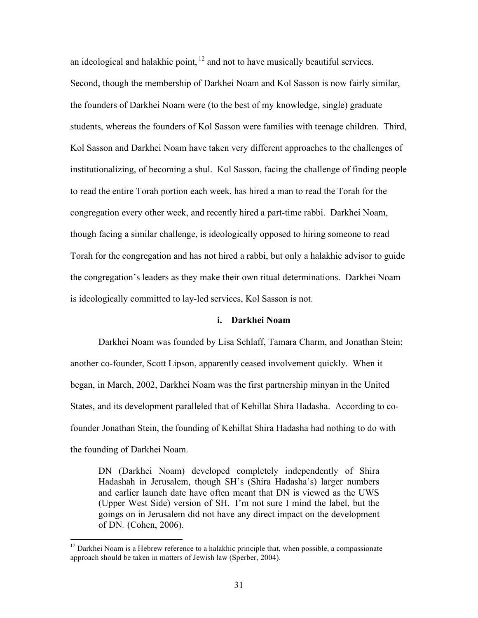an ideological and halakhic point,  $12$  and not to have musically beautiful services. Second, though the membership of Darkhei Noam and Kol Sasson is now fairly similar, the founders of Darkhei Noam were (to the best of my knowledge, single) graduate students, whereas the founders of Kol Sasson were families with teenage children. Third, Kol Sasson and Darkhei Noam have taken very different approaches to the challenges of institutionalizing, of becoming a shul. Kol Sasson, facing the challenge of finding people to read the entire Torah portion each week, has hired a man to read the Torah for the congregation every other week, and recently hired a part-time rabbi. Darkhei Noam, though facing a similar challenge, is ideologically opposed to hiring someone to read Torah for the congregation and has not hired a rabbi, but only a halakhic advisor to guide the congregation's leaders as they make their own ritual determinations. Darkhei Noam is ideologically committed to lay-led services, Kol Sasson is not.

#### **i. Darkhei Noam**

Darkhei Noam was founded by Lisa Schlaff, Tamara Charm, and Jonathan Stein; another co-founder, Scott Lipson, apparently ceased involvement quickly. When it began, in March, 2002, Darkhei Noam was the first partnership minyan in the United States, and its development paralleled that of Kehillat Shira Hadasha. According to cofounder Jonathan Stein, the founding of Kehillat Shira Hadasha had nothing to do with the founding of Darkhei Noam.

DN (Darkhei Noam) developed completely independently of Shira Hadashah in Jerusalem, though SH's (Shira Hadasha's) larger numbers and earlier launch date have often meant that DN is viewed as the UWS (Upper West Side) version of SH. I'm not sure I mind the label, but the goings on in Jerusalem did not have any direct impact on the development of DN. (Cohen, 2006).

 $12$  Darkhei Noam is a Hebrew reference to a halakhic principle that, when possible, a compassionate approach should be taken in matters of Jewish law (Sperber, 2004).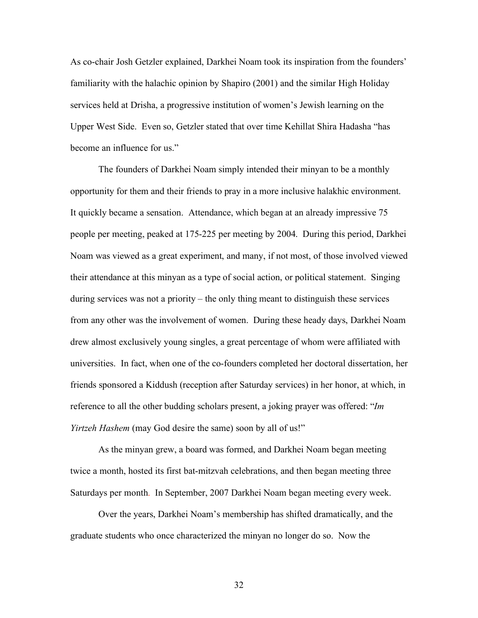As co-chair Josh Getzler explained, Darkhei Noam took its inspiration from the founders' familiarity with the halachic opinion by Shapiro (2001) and the similar High Holiday services held at Drisha, a progressive institution of women's Jewish learning on the Upper West Side. Even so, Getzler stated that over time Kehillat Shira Hadasha "has become an influence for us."

The founders of Darkhei Noam simply intended their minyan to be a monthly opportunity for them and their friends to pray in a more inclusive halakhic environment. It quickly became a sensation. Attendance, which began at an already impressive 75 people per meeting, peaked at 175-225 per meeting by 2004. During this period, Darkhei Noam was viewed as a great experiment, and many, if not most, of those involved viewed their attendance at this minyan as a type of social action, or political statement. Singing during services was not a priority – the only thing meant to distinguish these services from any other was the involvement of women. During these heady days, Darkhei Noam drew almost exclusively young singles, a great percentage of whom were affiliated with universities. In fact, when one of the co-founders completed her doctoral dissertation, her friends sponsored a Kiddush (reception after Saturday services) in her honor, at which, in reference to all the other budding scholars present, a joking prayer was offered: "*Im Yirtzeh Hashem* (may God desire the same) soon by all of us!"

As the minyan grew, a board was formed, and Darkhei Noam began meeting twice a month, hosted its first bat-mitzvah celebrations, and then began meeting three Saturdays per month. In September, 2007 Darkhei Noam began meeting every week.

Over the years, Darkhei Noam's membership has shifted dramatically, and the graduate students who once characterized the minyan no longer do so. Now the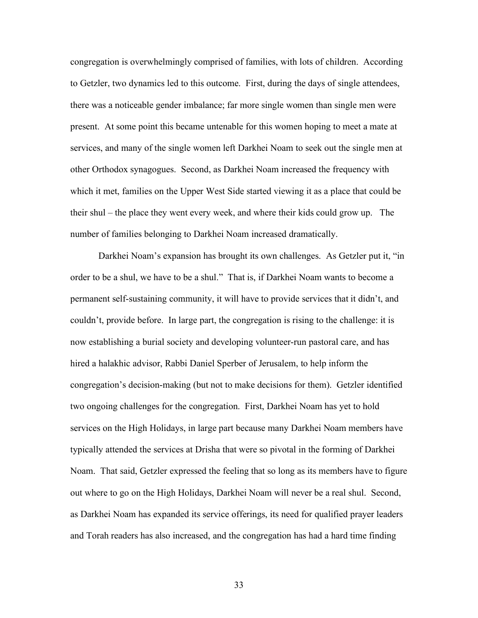congregation is overwhelmingly comprised of families, with lots of children. According to Getzler, two dynamics led to this outcome. First, during the days of single attendees, there was a noticeable gender imbalance; far more single women than single men were present. At some point this became untenable for this women hoping to meet a mate at services, and many of the single women left Darkhei Noam to seek out the single men at other Orthodox synagogues. Second, as Darkhei Noam increased the frequency with which it met, families on the Upper West Side started viewing it as a place that could be their shul – the place they went every week, and where their kids could grow up. The number of families belonging to Darkhei Noam increased dramatically.

Darkhei Noam's expansion has brought its own challenges. As Getzler put it, "in order to be a shul, we have to be a shul." That is, if Darkhei Noam wants to become a permanent self-sustaining community, it will have to provide services that it didn't, and couldn't, provide before. In large part, the congregation is rising to the challenge: it is now establishing a burial society and developing volunteer-run pastoral care, and has hired a halakhic advisor, Rabbi Daniel Sperber of Jerusalem, to help inform the congregation's decision-making (but not to make decisions for them). Getzler identified two ongoing challenges for the congregation. First, Darkhei Noam has yet to hold services on the High Holidays, in large part because many Darkhei Noam members have typically attended the services at Drisha that were so pivotal in the forming of Darkhei Noam. That said, Getzler expressed the feeling that so long as its members have to figure out where to go on the High Holidays, Darkhei Noam will never be a real shul. Second, as Darkhei Noam has expanded its service offerings, its need for qualified prayer leaders and Torah readers has also increased, and the congregation has had a hard time finding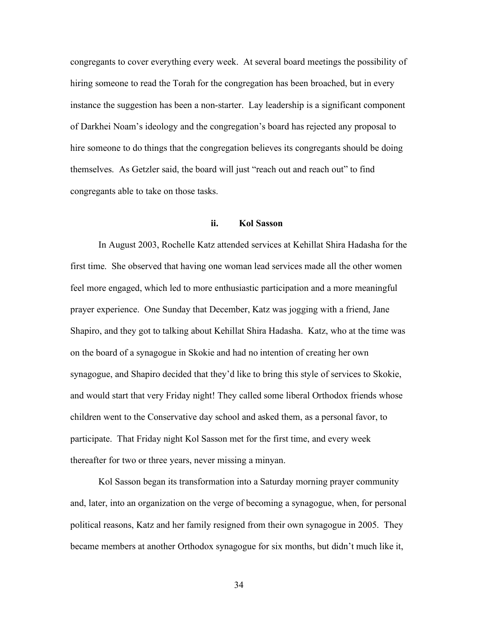congregants to cover everything every week. At several board meetings the possibility of hiring someone to read the Torah for the congregation has been broached, but in every instance the suggestion has been a non-starter. Lay leadership is a significant component of Darkhei Noam's ideology and the congregation's board has rejected any proposal to hire someone to do things that the congregation believes its congregants should be doing themselves. As Getzler said, the board will just "reach out and reach out" to find congregants able to take on those tasks.

### **ii. Kol Sasson**

In August 2003, Rochelle Katz attended services at Kehillat Shira Hadasha for the first time. She observed that having one woman lead services made all the other women feel more engaged, which led to more enthusiastic participation and a more meaningful prayer experience. One Sunday that December, Katz was jogging with a friend, Jane Shapiro, and they got to talking about Kehillat Shira Hadasha. Katz, who at the time was on the board of a synagogue in Skokie and had no intention of creating her own synagogue, and Shapiro decided that they'd like to bring this style of services to Skokie, and would start that very Friday night! They called some liberal Orthodox friends whose children went to the Conservative day school and asked them, as a personal favor, to participate. That Friday night Kol Sasson met for the first time, and every week thereafter for two or three years, never missing a minyan.

Kol Sasson began its transformation into a Saturday morning prayer community and, later, into an organization on the verge of becoming a synagogue, when, for personal political reasons, Katz and her family resigned from their own synagogue in 2005. They became members at another Orthodox synagogue for six months, but didn't much like it,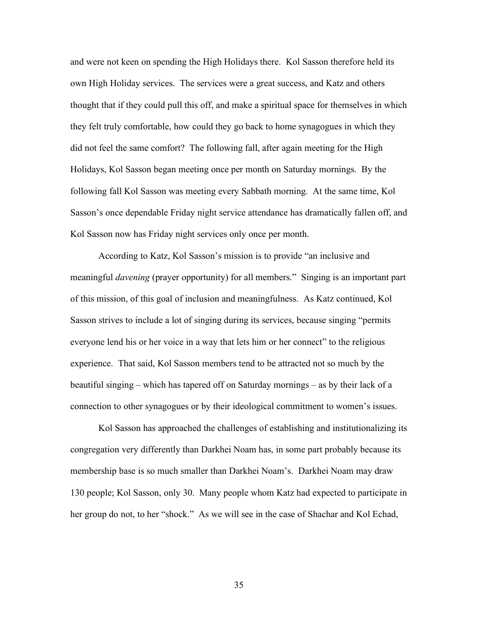and were not keen on spending the High Holidays there. Kol Sasson therefore held its own High Holiday services. The services were a great success, and Katz and others thought that if they could pull this off, and make a spiritual space for themselves in which they felt truly comfortable, how could they go back to home synagogues in which they did not feel the same comfort? The following fall, after again meeting for the High Holidays, Kol Sasson began meeting once per month on Saturday mornings. By the following fall Kol Sasson was meeting every Sabbath morning. At the same time, Kol Sasson's once dependable Friday night service attendance has dramatically fallen off, and Kol Sasson now has Friday night services only once per month.

According to Katz, Kol Sasson's mission is to provide "an inclusive and meaningful *davening* (prayer opportunity) for all members." Singing is an important part of this mission, of this goal of inclusion and meaningfulness. As Katz continued, Kol Sasson strives to include a lot of singing during its services, because singing "permits everyone lend his or her voice in a way that lets him or her connect" to the religious experience. That said, Kol Sasson members tend to be attracted not so much by the beautiful singing – which has tapered off on Saturday mornings – as by their lack of a connection to other synagogues or by their ideological commitment to women's issues.

Kol Sasson has approached the challenges of establishing and institutionalizing its congregation very differently than Darkhei Noam has, in some part probably because its membership base is so much smaller than Darkhei Noam's. Darkhei Noam may draw 130 people; Kol Sasson, only 30. Many people whom Katz had expected to participate in her group do not, to her "shock." As we will see in the case of Shachar and Kol Echad,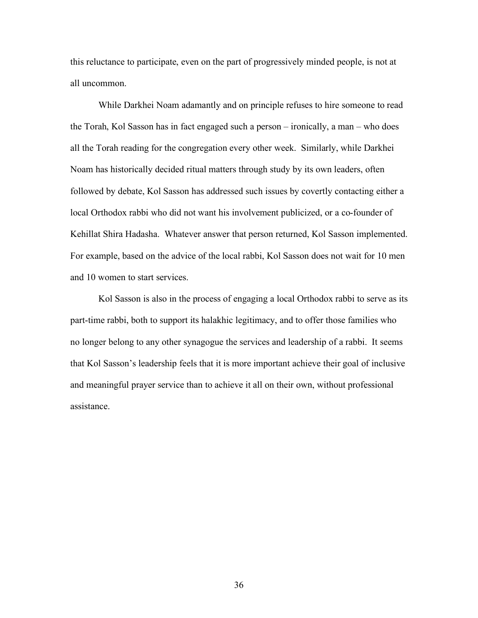this reluctance to participate, even on the part of progressively minded people, is not at all uncommon.

While Darkhei Noam adamantly and on principle refuses to hire someone to read the Torah, Kol Sasson has in fact engaged such a person – ironically, a man – who does all the Torah reading for the congregation every other week. Similarly, while Darkhei Noam has historically decided ritual matters through study by its own leaders, often followed by debate, Kol Sasson has addressed such issues by covertly contacting either a local Orthodox rabbi who did not want his involvement publicized, or a co-founder of Kehillat Shira Hadasha. Whatever answer that person returned, Kol Sasson implemented. For example, based on the advice of the local rabbi, Kol Sasson does not wait for 10 men and 10 women to start services.

Kol Sasson is also in the process of engaging a local Orthodox rabbi to serve as its part-time rabbi, both to support its halakhic legitimacy, and to offer those families who no longer belong to any other synagogue the services and leadership of a rabbi. It seems that Kol Sasson's leadership feels that it is more important achieve their goal of inclusive and meaningful prayer service than to achieve it all on their own, without professional assistance.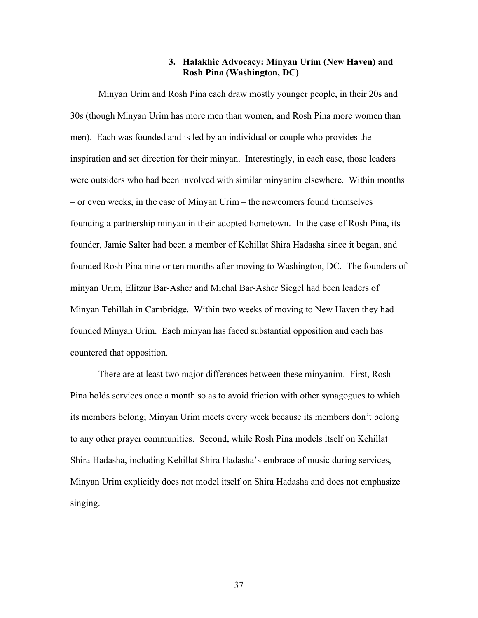## **3. Halakhic Advocacy: Minyan Urim (New Haven) and Rosh Pina (Washington, DC)**

Minyan Urim and Rosh Pina each draw mostly younger people, in their 20s and 30s (though Minyan Urim has more men than women, and Rosh Pina more women than men). Each was founded and is led by an individual or couple who provides the inspiration and set direction for their minyan. Interestingly, in each case, those leaders were outsiders who had been involved with similar minyanim elsewhere. Within months – or even weeks, in the case of Minyan Urim – the newcomers found themselves founding a partnership minyan in their adopted hometown. In the case of Rosh Pina, its founder, Jamie Salter had been a member of Kehillat Shira Hadasha since it began, and founded Rosh Pina nine or ten months after moving to Washington, DC. The founders of minyan Urim, Elitzur Bar-Asher and Michal Bar-Asher Siegel had been leaders of Minyan Tehillah in Cambridge. Within two weeks of moving to New Haven they had founded Minyan Urim. Each minyan has faced substantial opposition and each has countered that opposition.

There are at least two major differences between these minyanim. First, Rosh Pina holds services once a month so as to avoid friction with other synagogues to which its members belong; Minyan Urim meets every week because its members don't belong to any other prayer communities. Second, while Rosh Pina models itself on Kehillat Shira Hadasha, including Kehillat Shira Hadasha's embrace of music during services, Minyan Urim explicitly does not model itself on Shira Hadasha and does not emphasize singing.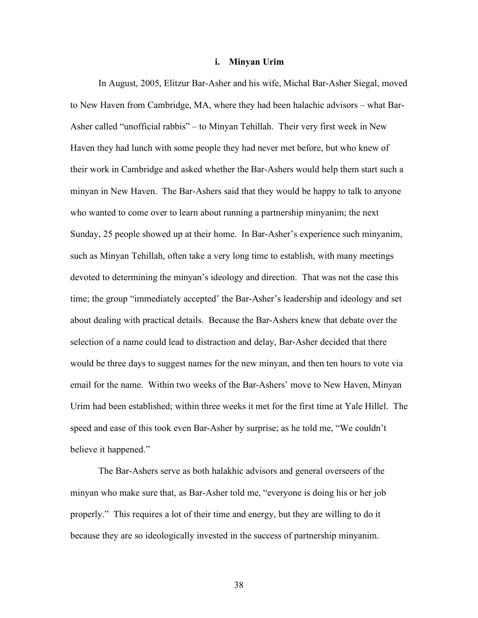#### **i. Minyan Urim**

In August, 2005, Elitzur Bar-Asher and his wife, Michal Bar-Asher Siegal, moved to New Haven from Cambridge, MA, where they had been halachic advisors – what Bar-Asher called "unofficial rabbis" – to Minyan Tehillah. Their very first week in New Haven they had lunch with some people they had never met before, but who knew of their work in Cambridge and asked whether the Bar-Ashers would help them start such a minyan in New Haven. The Bar-Ashers said that they would be happy to talk to anyone who wanted to come over to learn about running a partnership minyanim; the next Sunday, 25 people showed up at their home. In Bar-Asher's experience such minyanim, such as Minyan Tehillah, often take a very long time to establish, with many meetings devoted to determining the minyan's ideology and direction. That was not the case this time; the group "immediately accepted' the Bar-Asher's leadership and ideology and set about dealing with practical details. Because the Bar-Ashers knew that debate over the selection of a name could lead to distraction and delay, Bar-Asher decided that there would be three days to suggest names for the new minyan, and then ten hours to vote via email for the name. Within two weeks of the Bar-Ashers' move to New Haven, Minyan Urim had been established; within three weeks it met for the first time at Yale Hillel. The speed and ease of this took even Bar-Asher by surprise; as he told me, "We couldn't believe it happened."

The Bar-Ashers serve as both halakhic advisors and general overseers of the minyan who make sure that, as Bar-Asher told me, "everyone is doing his or her job properly." This requires a lot of their time and energy, but they are willing to do it because they are so ideologically invested in the success of partnership minyanim.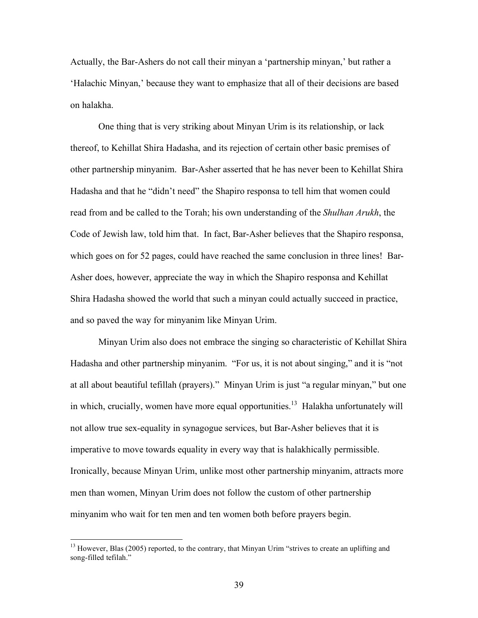Actually, the Bar-Ashers do not call their minyan a 'partnership minyan,' but rather a 'Halachic Minyan,' because they want to emphasize that all of their decisions are based on halakha.

One thing that is very striking about Minyan Urim is its relationship, or lack thereof, to Kehillat Shira Hadasha, and its rejection of certain other basic premises of other partnership minyanim. Bar-Asher asserted that he has never been to Kehillat Shira Hadasha and that he "didn't need" the Shapiro responsa to tell him that women could read from and be called to the Torah; his own understanding of the *Shulhan Arukh*, the Code of Jewish law, told him that. In fact, Bar-Asher believes that the Shapiro responsa, which goes on for 52 pages, could have reached the same conclusion in three lines! Bar-Asher does, however, appreciate the way in which the Shapiro responsa and Kehillat Shira Hadasha showed the world that such a minyan could actually succeed in practice, and so paved the way for minyanim like Minyan Urim.

Minyan Urim also does not embrace the singing so characteristic of Kehillat Shira Hadasha and other partnership minyanim. "For us, it is not about singing," and it is "not at all about beautiful tefillah (prayers)." Minyan Urim is just "a regular minyan," but one in which, crucially, women have more equal opportunities.<sup>13</sup> Halakha unfortunately will not allow true sex-equality in synagogue services, but Bar-Asher believes that it is imperative to move towards equality in every way that is halakhically permissible. Ironically, because Minyan Urim, unlike most other partnership minyanim, attracts more men than women, Minyan Urim does not follow the custom of other partnership minyanim who wait for ten men and ten women both before prayers begin.

<sup>&</sup>lt;sup>13</sup> However, Blas (2005) reported, to the contrary, that Minyan Urim "strives to create an uplifting and song-filled tefilah."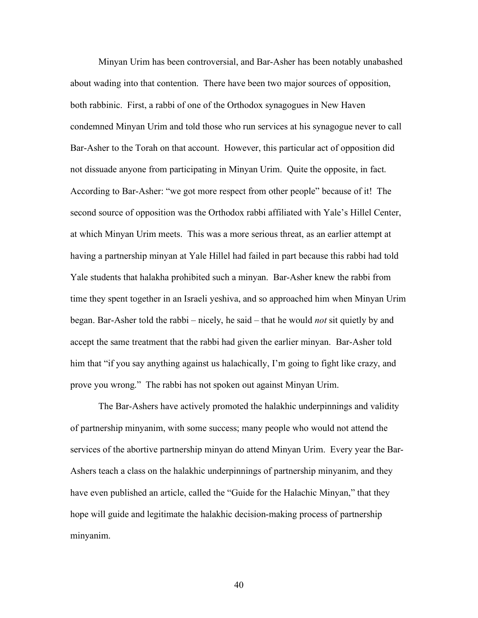Minyan Urim has been controversial, and Bar-Asher has been notably unabashed about wading into that contention. There have been two major sources of opposition, both rabbinic. First, a rabbi of one of the Orthodox synagogues in New Haven condemned Minyan Urim and told those who run services at his synagogue never to call Bar-Asher to the Torah on that account. However, this particular act of opposition did not dissuade anyone from participating in Minyan Urim. Quite the opposite, in fact. According to Bar-Asher: "we got more respect from other people" because of it! The second source of opposition was the Orthodox rabbi affiliated with Yale's Hillel Center, at which Minyan Urim meets. This was a more serious threat, as an earlier attempt at having a partnership minyan at Yale Hillel had failed in part because this rabbi had told Yale students that halakha prohibited such a minyan. Bar-Asher knew the rabbi from time they spent together in an Israeli yeshiva, and so approached him when Minyan Urim began. Bar-Asher told the rabbi – nicely, he said – that he would *not* sit quietly by and accept the same treatment that the rabbi had given the earlier minyan. Bar-Asher told him that "if you say anything against us halachically, I'm going to fight like crazy, and prove you wrong." The rabbi has not spoken out against Minyan Urim.

The Bar-Ashers have actively promoted the halakhic underpinnings and validity of partnership minyanim, with some success; many people who would not attend the services of the abortive partnership minyan do attend Minyan Urim. Every year the Bar-Ashers teach a class on the halakhic underpinnings of partnership minyanim, and they have even published an article, called the "Guide for the Halachic Minyan," that they hope will guide and legitimate the halakhic decision-making process of partnership minyanim.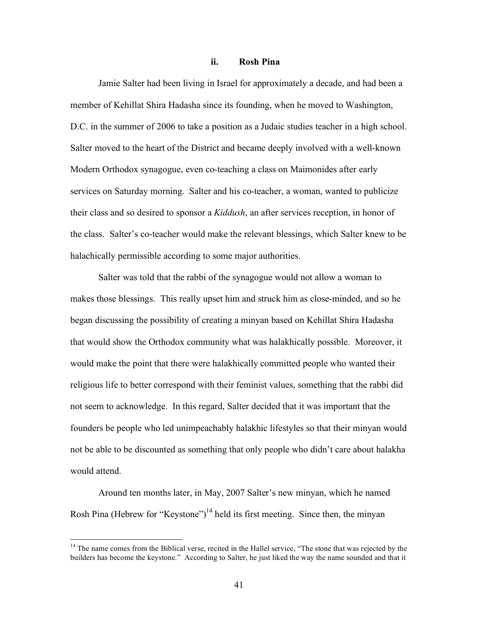### **ii. Rosh Pina**

Jamie Salter had been living in Israel for approximately a decade, and had been a member of Kehillat Shira Hadasha since its founding, when he moved to Washington, D.C. in the summer of 2006 to take a position as a Judaic studies teacher in a high school. Salter moved to the heart of the District and became deeply involved with a well-known Modern Orthodox synagogue, even co-teaching a class on Maimonides after early services on Saturday morning. Salter and his co-teacher, a woman, wanted to publicize their class and so desired to sponsor a *Kiddush*, an after services reception, in honor of the class. Salter's co-teacher would make the relevant blessings, which Salter knew to be halachically permissible according to some major authorities.

Salter was told that the rabbi of the synagogue would not allow a woman to makes those blessings. This really upset him and struck him as close-minded, and so he began discussing the possibility of creating a minyan based on Kehillat Shira Hadasha that would show the Orthodox community what was halakhically possible. Moreover, it would make the point that there were halakhically committed people who wanted their religious life to better correspond with their feminist values, something that the rabbi did not seem to acknowledge. In this regard, Salter decided that it was important that the founders be people who led unimpeachably halakhic lifestyles so that their minyan would not be able to be discounted as something that only people who didn't care about halakha would attend.

Around ten months later, in May, 2007 Salter's new minyan, which he named Rosh Pina (Hebrew for "Keystone")<sup>14</sup> held its first meeting. Since then, the minyan

<sup>&</sup>lt;sup>14</sup> The name comes from the Biblical verse, recited in the Hallel service, "The stone that was rejected by the builders has become the keystone." According to Salter, he just liked the way the name sounded and that it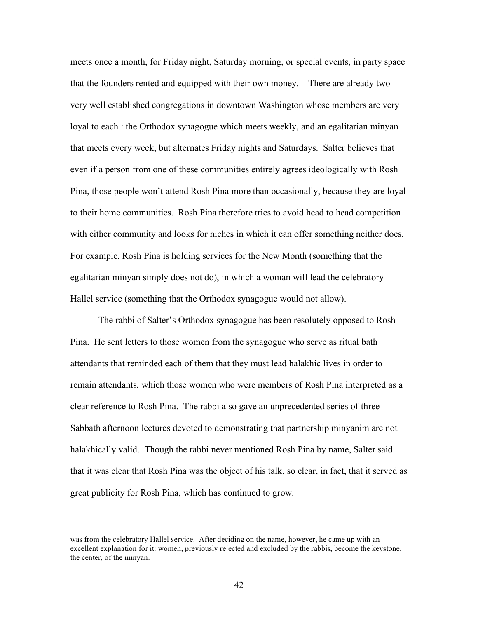meets once a month, for Friday night, Saturday morning, or special events, in party space that the founders rented and equipped with their own money. There are already two very well established congregations in downtown Washington whose members are very loyal to each : the Orthodox synagogue which meets weekly, and an egalitarian minyan that meets every week, but alternates Friday nights and Saturdays. Salter believes that even if a person from one of these communities entirely agrees ideologically with Rosh Pina, those people won't attend Rosh Pina more than occasionally, because they are loyal to their home communities. Rosh Pina therefore tries to avoid head to head competition with either community and looks for niches in which it can offer something neither does. For example, Rosh Pina is holding services for the New Month (something that the egalitarian minyan simply does not do), in which a woman will lead the celebratory Hallel service (something that the Orthodox synagogue would not allow).

The rabbi of Salter's Orthodox synagogue has been resolutely opposed to Rosh Pina. He sent letters to those women from the synagogue who serve as ritual bath attendants that reminded each of them that they must lead halakhic lives in order to remain attendants, which those women who were members of Rosh Pina interpreted as a clear reference to Rosh Pina. The rabbi also gave an unprecedented series of three Sabbath afternoon lectures devoted to demonstrating that partnership minyanim are not halakhically valid. Though the rabbi never mentioned Rosh Pina by name, Salter said that it was clear that Rosh Pina was the object of his talk, so clear, in fact, that it served as great publicity for Rosh Pina, which has continued to grow.

was from the celebratory Hallel service. After deciding on the name, however, he came up with an excellent explanation for it: women, previously rejected and excluded by the rabbis, become the keystone, the center, of the minyan.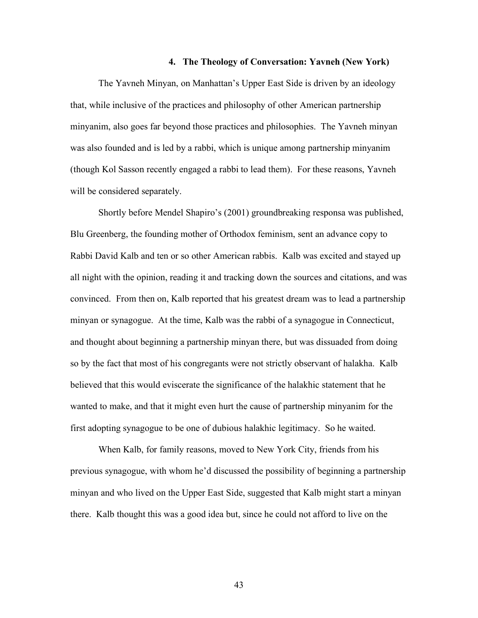#### **4. The Theology of Conversation: Yavneh (New York)**

The Yavneh Minyan, on Manhattan's Upper East Side is driven by an ideology that, while inclusive of the practices and philosophy of other American partnership minyanim, also goes far beyond those practices and philosophies. The Yavneh minyan was also founded and is led by a rabbi, which is unique among partnership minyanim (though Kol Sasson recently engaged a rabbi to lead them). For these reasons, Yavneh will be considered separately.

Shortly before Mendel Shapiro's (2001) groundbreaking responsa was published, Blu Greenberg, the founding mother of Orthodox feminism, sent an advance copy to Rabbi David Kalb and ten or so other American rabbis. Kalb was excited and stayed up all night with the opinion, reading it and tracking down the sources and citations, and was convinced. From then on, Kalb reported that his greatest dream was to lead a partnership minyan or synagogue. At the time, Kalb was the rabbi of a synagogue in Connecticut, and thought about beginning a partnership minyan there, but was dissuaded from doing so by the fact that most of his congregants were not strictly observant of halakha. Kalb believed that this would eviscerate the significance of the halakhic statement that he wanted to make, and that it might even hurt the cause of partnership minyanim for the first adopting synagogue to be one of dubious halakhic legitimacy. So he waited.

When Kalb, for family reasons, moved to New York City, friends from his previous synagogue, with whom he'd discussed the possibility of beginning a partnership minyan and who lived on the Upper East Side, suggested that Kalb might start a minyan there. Kalb thought this was a good idea but, since he could not afford to live on the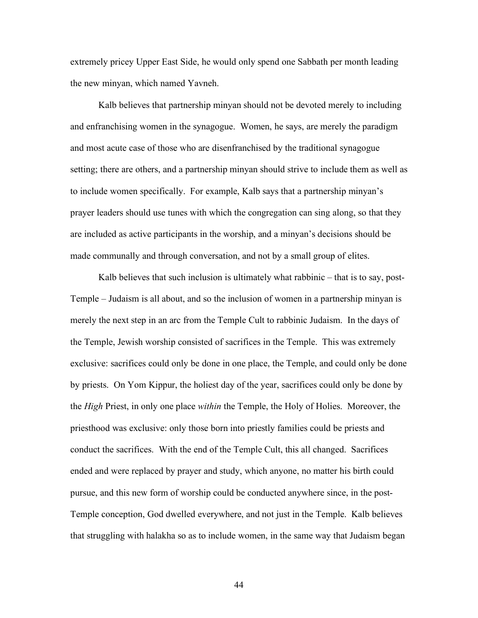extremely pricey Upper East Side, he would only spend one Sabbath per month leading the new minyan, which named Yavneh.

Kalb believes that partnership minyan should not be devoted merely to including and enfranchising women in the synagogue. Women, he says, are merely the paradigm and most acute case of those who are disenfranchised by the traditional synagogue setting; there are others, and a partnership minyan should strive to include them as well as to include women specifically. For example, Kalb says that a partnership minyan's prayer leaders should use tunes with which the congregation can sing along, so that they are included as active participants in the worship, and a minyan's decisions should be made communally and through conversation, and not by a small group of elites.

Kalb believes that such inclusion is ultimately what rabbinic – that is to say, post-Temple – Judaism is all about, and so the inclusion of women in a partnership minyan is merely the next step in an arc from the Temple Cult to rabbinic Judaism. In the days of the Temple, Jewish worship consisted of sacrifices in the Temple. This was extremely exclusive: sacrifices could only be done in one place, the Temple, and could only be done by priests. On Yom Kippur, the holiest day of the year, sacrifices could only be done by the *High* Priest, in only one place *within* the Temple, the Holy of Holies. Moreover, the priesthood was exclusive: only those born into priestly families could be priests and conduct the sacrifices. With the end of the Temple Cult, this all changed. Sacrifices ended and were replaced by prayer and study, which anyone, no matter his birth could pursue, and this new form of worship could be conducted anywhere since, in the post-Temple conception, God dwelled everywhere, and not just in the Temple. Kalb believes that struggling with halakha so as to include women, in the same way that Judaism began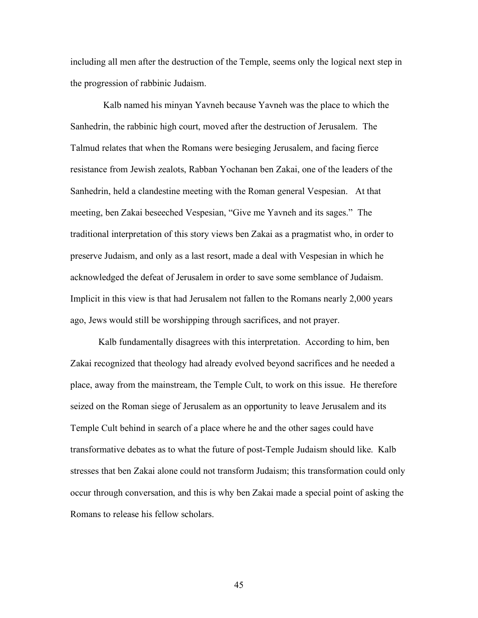including all men after the destruction of the Temple, seems only the logical next step in the progression of rabbinic Judaism.

 Kalb named his minyan Yavneh because Yavneh was the place to which the Sanhedrin, the rabbinic high court, moved after the destruction of Jerusalem. The Talmud relates that when the Romans were besieging Jerusalem, and facing fierce resistance from Jewish zealots, Rabban Yochanan ben Zakai, one of the leaders of the Sanhedrin, held a clandestine meeting with the Roman general Vespesian. At that meeting, ben Zakai beseeched Vespesian, "Give me Yavneh and its sages." The traditional interpretation of this story views ben Zakai as a pragmatist who, in order to preserve Judaism, and only as a last resort, made a deal with Vespesian in which he acknowledged the defeat of Jerusalem in order to save some semblance of Judaism. Implicit in this view is that had Jerusalem not fallen to the Romans nearly 2,000 years ago, Jews would still be worshipping through sacrifices, and not prayer.

Kalb fundamentally disagrees with this interpretation. According to him, ben Zakai recognized that theology had already evolved beyond sacrifices and he needed a place, away from the mainstream, the Temple Cult, to work on this issue. He therefore seized on the Roman siege of Jerusalem as an opportunity to leave Jerusalem and its Temple Cult behind in search of a place where he and the other sages could have transformative debates as to what the future of post-Temple Judaism should like. Kalb stresses that ben Zakai alone could not transform Judaism; this transformation could only occur through conversation, and this is why ben Zakai made a special point of asking the Romans to release his fellow scholars.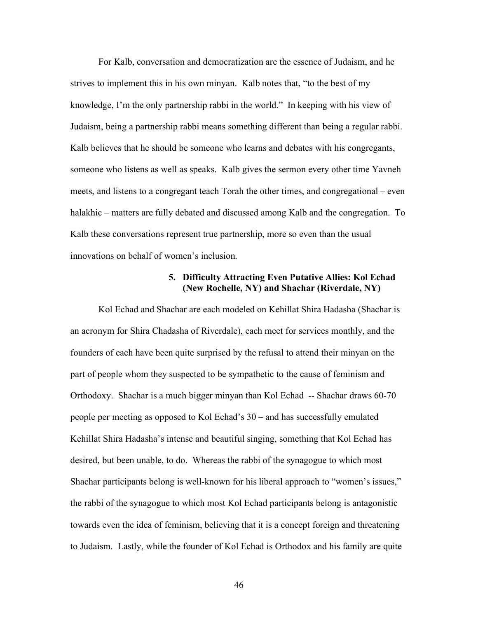For Kalb, conversation and democratization are the essence of Judaism, and he strives to implement this in his own minyan. Kalb notes that, "to the best of my knowledge, I'm the only partnership rabbi in the world." In keeping with his view of Judaism, being a partnership rabbi means something different than being a regular rabbi. Kalb believes that he should be someone who learns and debates with his congregants, someone who listens as well as speaks. Kalb gives the sermon every other time Yavneh meets, and listens to a congregant teach Torah the other times, and congregational – even halakhic – matters are fully debated and discussed among Kalb and the congregation. To Kalb these conversations represent true partnership, more so even than the usual innovations on behalf of women's inclusion.

### **5. Difficulty Attracting Even Putative Allies: Kol Echad (New Rochelle, NY) and Shachar (Riverdale, NY)**

Kol Echad and Shachar are each modeled on Kehillat Shira Hadasha (Shachar is an acronym for Shira Chadasha of Riverdale), each meet for services monthly, and the founders of each have been quite surprised by the refusal to attend their minyan on the part of people whom they suspected to be sympathetic to the cause of feminism and Orthodoxy. Shachar is a much bigger minyan than Kol Echad -- Shachar draws 60-70 people per meeting as opposed to Kol Echad's 30 – and has successfully emulated Kehillat Shira Hadasha's intense and beautiful singing, something that Kol Echad has desired, but been unable, to do. Whereas the rabbi of the synagogue to which most Shachar participants belong is well-known for his liberal approach to "women's issues," the rabbi of the synagogue to which most Kol Echad participants belong is antagonistic towards even the idea of feminism, believing that it is a concept foreign and threatening to Judaism. Lastly, while the founder of Kol Echad is Orthodox and his family are quite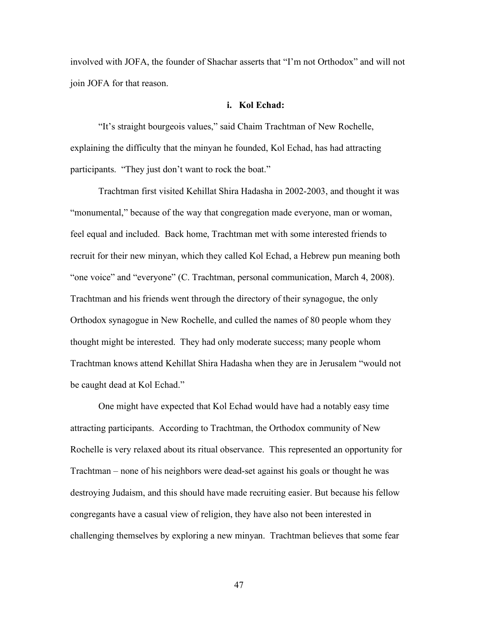involved with JOFA, the founder of Shachar asserts that "I'm not Orthodox" and will not join JOFA for that reason.

#### **i. Kol Echad:**

"It's straight bourgeois values," said Chaim Trachtman of New Rochelle, explaining the difficulty that the minyan he founded, Kol Echad, has had attracting participants. "They just don't want to rock the boat."

Trachtman first visited Kehillat Shira Hadasha in 2002-2003, and thought it was "monumental," because of the way that congregation made everyone, man or woman, feel equal and included. Back home, Trachtman met with some interested friends to recruit for their new minyan, which they called Kol Echad, a Hebrew pun meaning both "one voice" and "everyone" (C. Trachtman, personal communication, March 4, 2008). Trachtman and his friends went through the directory of their synagogue, the only Orthodox synagogue in New Rochelle, and culled the names of 80 people whom they thought might be interested. They had only moderate success; many people whom Trachtman knows attend Kehillat Shira Hadasha when they are in Jerusalem "would not be caught dead at Kol Echad."

One might have expected that Kol Echad would have had a notably easy time attracting participants. According to Trachtman, the Orthodox community of New Rochelle is very relaxed about its ritual observance. This represented an opportunity for Trachtman – none of his neighbors were dead-set against his goals or thought he was destroying Judaism, and this should have made recruiting easier. But because his fellow congregants have a casual view of religion, they have also not been interested in challenging themselves by exploring a new minyan. Trachtman believes that some fear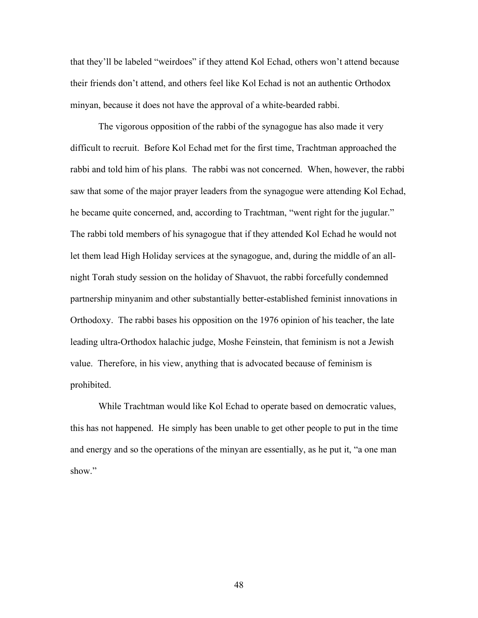that they'll be labeled "weirdoes" if they attend Kol Echad, others won't attend because their friends don't attend, and others feel like Kol Echad is not an authentic Orthodox minyan, because it does not have the approval of a white-bearded rabbi.

The vigorous opposition of the rabbi of the synagogue has also made it very difficult to recruit. Before Kol Echad met for the first time, Trachtman approached the rabbi and told him of his plans. The rabbi was not concerned. When, however, the rabbi saw that some of the major prayer leaders from the synagogue were attending Kol Echad, he became quite concerned, and, according to Trachtman, "went right for the jugular." The rabbi told members of his synagogue that if they attended Kol Echad he would not let them lead High Holiday services at the synagogue, and, during the middle of an allnight Torah study session on the holiday of Shavuot, the rabbi forcefully condemned partnership minyanim and other substantially better-established feminist innovations in Orthodoxy. The rabbi bases his opposition on the 1976 opinion of his teacher, the late leading ultra-Orthodox halachic judge, Moshe Feinstein, that feminism is not a Jewish value. Therefore, in his view, anything that is advocated because of feminism is prohibited.

While Trachtman would like Kol Echad to operate based on democratic values, this has not happened. He simply has been unable to get other people to put in the time and energy and so the operations of the minyan are essentially, as he put it, "a one man show."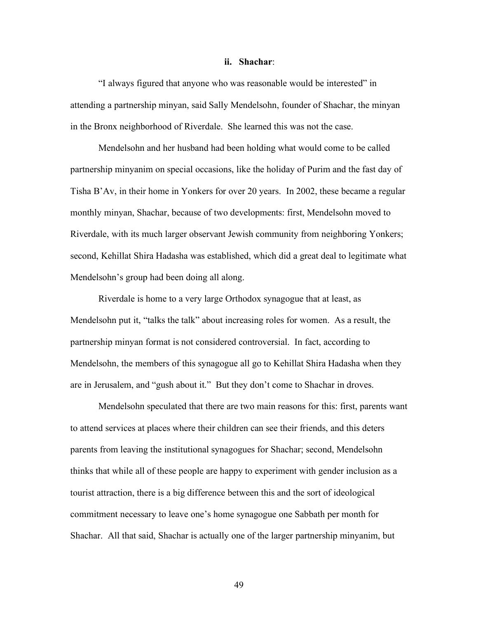#### **ii. Shachar**:

"I always figured that anyone who was reasonable would be interested" in attending a partnership minyan, said Sally Mendelsohn, founder of Shachar, the minyan in the Bronx neighborhood of Riverdale. She learned this was not the case.

Mendelsohn and her husband had been holding what would come to be called partnership minyanim on special occasions, like the holiday of Purim and the fast day of Tisha B'Av, in their home in Yonkers for over 20 years. In 2002, these became a regular monthly minyan, Shachar, because of two developments: first, Mendelsohn moved to Riverdale, with its much larger observant Jewish community from neighboring Yonkers; second, Kehillat Shira Hadasha was established, which did a great deal to legitimate what Mendelsohn's group had been doing all along.

Riverdale is home to a very large Orthodox synagogue that at least, as Mendelsohn put it, "talks the talk" about increasing roles for women. As a result, the partnership minyan format is not considered controversial. In fact, according to Mendelsohn, the members of this synagogue all go to Kehillat Shira Hadasha when they are in Jerusalem, and "gush about it." But they don't come to Shachar in droves.

Mendelsohn speculated that there are two main reasons for this: first, parents want to attend services at places where their children can see their friends, and this deters parents from leaving the institutional synagogues for Shachar; second, Mendelsohn thinks that while all of these people are happy to experiment with gender inclusion as a tourist attraction, there is a big difference between this and the sort of ideological commitment necessary to leave one's home synagogue one Sabbath per month for Shachar. All that said, Shachar is actually one of the larger partnership minyanim, but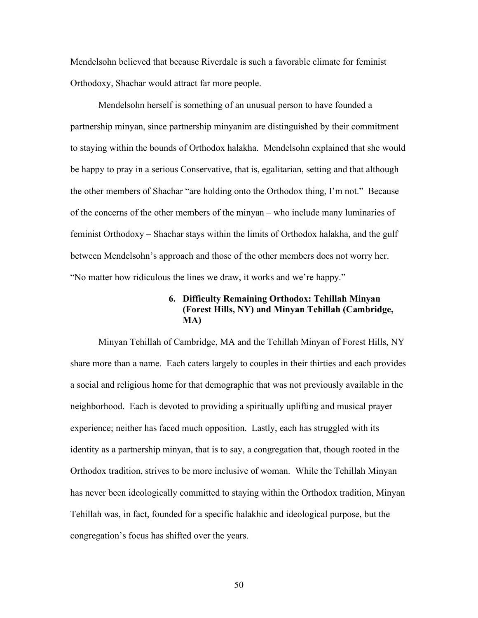Mendelsohn believed that because Riverdale is such a favorable climate for feminist Orthodoxy, Shachar would attract far more people.

Mendelsohn herself is something of an unusual person to have founded a partnership minyan, since partnership minyanim are distinguished by their commitment to staying within the bounds of Orthodox halakha. Mendelsohn explained that she would be happy to pray in a serious Conservative, that is, egalitarian, setting and that although the other members of Shachar "are holding onto the Orthodox thing, I'm not." Because of the concerns of the other members of the minyan – who include many luminaries of feminist Orthodoxy – Shachar stays within the limits of Orthodox halakha, and the gulf between Mendelsohn's approach and those of the other members does not worry her. "No matter how ridiculous the lines we draw, it works and we're happy."

# **6. Difficulty Remaining Orthodox: Tehillah Minyan (Forest Hills, NY) and Minyan Tehillah (Cambridge, MA)**

Minyan Tehillah of Cambridge, MA and the Tehillah Minyan of Forest Hills, NY share more than a name. Each caters largely to couples in their thirties and each provides a social and religious home for that demographic that was not previously available in the neighborhood. Each is devoted to providing a spiritually uplifting and musical prayer experience; neither has faced much opposition. Lastly, each has struggled with its identity as a partnership minyan, that is to say, a congregation that, though rooted in the Orthodox tradition, strives to be more inclusive of woman. While the Tehillah Minyan has never been ideologically committed to staying within the Orthodox tradition, Minyan Tehillah was, in fact, founded for a specific halakhic and ideological purpose, but the congregation's focus has shifted over the years.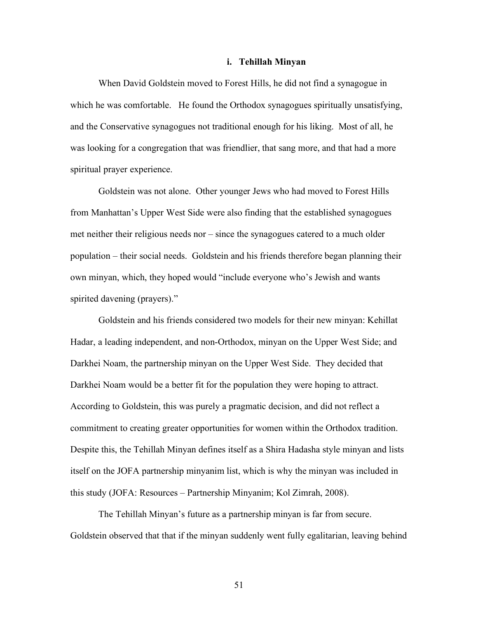#### **i. Tehillah Minyan**

When David Goldstein moved to Forest Hills, he did not find a synagogue in which he was comfortable. He found the Orthodox synagogues spiritually unsatisfying, and the Conservative synagogues not traditional enough for his liking. Most of all, he was looking for a congregation that was friendlier, that sang more, and that had a more spiritual prayer experience.

Goldstein was not alone. Other younger Jews who had moved to Forest Hills from Manhattan's Upper West Side were also finding that the established synagogues met neither their religious needs nor – since the synagogues catered to a much older population – their social needs. Goldstein and his friends therefore began planning their own minyan, which, they hoped would "include everyone who's Jewish and wants spirited davening (prayers)."

Goldstein and his friends considered two models for their new minyan: Kehillat Hadar, a leading independent, and non-Orthodox, minyan on the Upper West Side; and Darkhei Noam, the partnership minyan on the Upper West Side. They decided that Darkhei Noam would be a better fit for the population they were hoping to attract. According to Goldstein, this was purely a pragmatic decision, and did not reflect a commitment to creating greater opportunities for women within the Orthodox tradition. Despite this, the Tehillah Minyan defines itself as a Shira Hadasha style minyan and lists itself on the JOFA partnership minyanim list, which is why the minyan was included in this study (JOFA: Resources – Partnership Minyanim; Kol Zimrah, 2008).

The Tehillah Minyan's future as a partnership minyan is far from secure. Goldstein observed that that if the minyan suddenly went fully egalitarian, leaving behind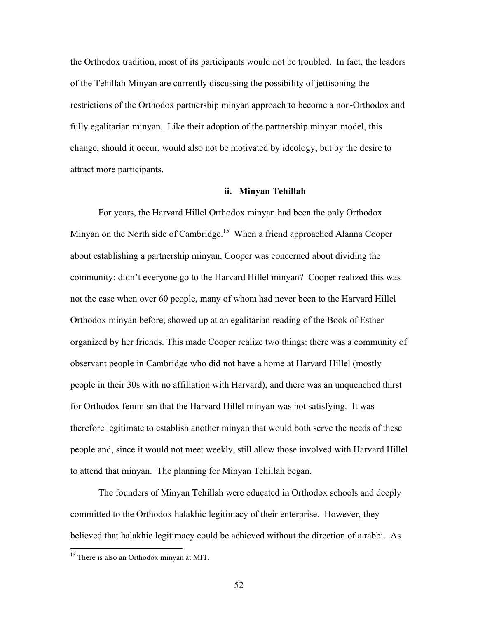the Orthodox tradition, most of its participants would not be troubled. In fact, the leaders of the Tehillah Minyan are currently discussing the possibility of jettisoning the restrictions of the Orthodox partnership minyan approach to become a non-Orthodox and fully egalitarian minyan. Like their adoption of the partnership minyan model, this change, should it occur, would also not be motivated by ideology, but by the desire to attract more participants.

### **ii. Minyan Tehillah**

For years, the Harvard Hillel Orthodox minyan had been the only Orthodox Minyan on the North side of Cambridge.<sup>15</sup> When a friend approached Alanna Cooper about establishing a partnership minyan, Cooper was concerned about dividing the community: didn't everyone go to the Harvard Hillel minyan? Cooper realized this was not the case when over 60 people, many of whom had never been to the Harvard Hillel Orthodox minyan before, showed up at an egalitarian reading of the Book of Esther organized by her friends. This made Cooper realize two things: there was a community of observant people in Cambridge who did not have a home at Harvard Hillel (mostly people in their 30s with no affiliation with Harvard), and there was an unquenched thirst for Orthodox feminism that the Harvard Hillel minyan was not satisfying. It was therefore legitimate to establish another minyan that would both serve the needs of these people and, since it would not meet weekly, still allow those involved with Harvard Hillel to attend that minyan. The planning for Minyan Tehillah began.

The founders of Minyan Tehillah were educated in Orthodox schools and deeply committed to the Orthodox halakhic legitimacy of their enterprise. However, they believed that halakhic legitimacy could be achieved without the direction of a rabbi. As

<sup>&</sup>lt;sup>15</sup> There is also an Orthodox minyan at MIT.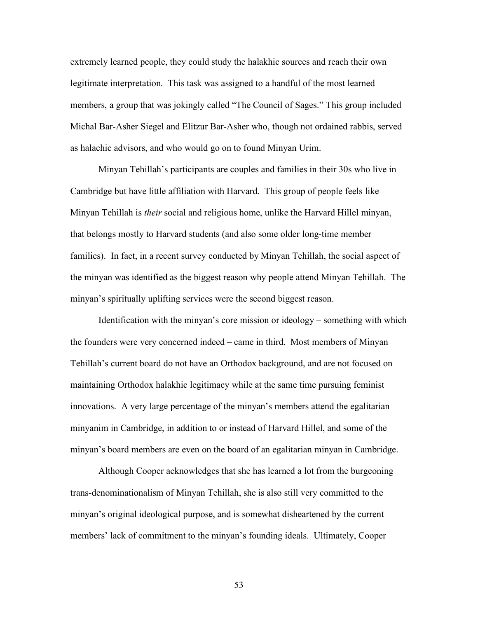extremely learned people, they could study the halakhic sources and reach their own legitimate interpretation. This task was assigned to a handful of the most learned members, a group that was jokingly called "The Council of Sages." This group included Michal Bar-Asher Siegel and Elitzur Bar-Asher who, though not ordained rabbis, served as halachic advisors, and who would go on to found Minyan Urim.

Minyan Tehillah's participants are couples and families in their 30s who live in Cambridge but have little affiliation with Harvard. This group of people feels like Minyan Tehillah is *their* social and religious home, unlike the Harvard Hillel minyan, that belongs mostly to Harvard students (and also some older long-time member families). In fact, in a recent survey conducted by Minyan Tehillah, the social aspect of the minyan was identified as the biggest reason why people attend Minyan Tehillah. The minyan's spiritually uplifting services were the second biggest reason.

Identification with the minyan's core mission or ideology – something with which the founders were very concerned indeed – came in third. Most members of Minyan Tehillah's current board do not have an Orthodox background, and are not focused on maintaining Orthodox halakhic legitimacy while at the same time pursuing feminist innovations. A very large percentage of the minyan's members attend the egalitarian minyanim in Cambridge, in addition to or instead of Harvard Hillel, and some of the minyan's board members are even on the board of an egalitarian minyan in Cambridge.

Although Cooper acknowledges that she has learned a lot from the burgeoning trans-denominationalism of Minyan Tehillah, she is also still very committed to the minyan's original ideological purpose, and is somewhat disheartened by the current members' lack of commitment to the minyan's founding ideals. Ultimately, Cooper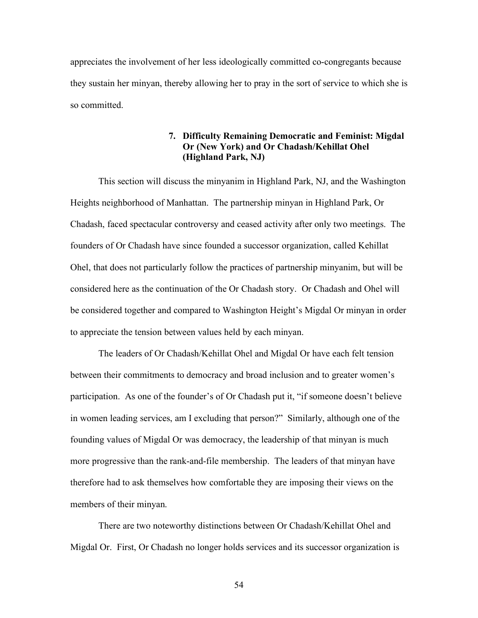appreciates the involvement of her less ideologically committed co-congregants because they sustain her minyan, thereby allowing her to pray in the sort of service to which she is so committed.

## **7. Difficulty Remaining Democratic and Feminist: Migdal Or (New York) and Or Chadash/Kehillat Ohel (Highland Park, NJ)**

This section will discuss the minyanim in Highland Park, NJ, and the Washington Heights neighborhood of Manhattan. The partnership minyan in Highland Park, Or Chadash, faced spectacular controversy and ceased activity after only two meetings. The founders of Or Chadash have since founded a successor organization, called Kehillat Ohel, that does not particularly follow the practices of partnership minyanim, but will be considered here as the continuation of the Or Chadash story. Or Chadash and Ohel will be considered together and compared to Washington Height's Migdal Or minyan in order to appreciate the tension between values held by each minyan.

The leaders of Or Chadash/Kehillat Ohel and Migdal Or have each felt tension between their commitments to democracy and broad inclusion and to greater women's participation. As one of the founder's of Or Chadash put it, "if someone doesn't believe in women leading services, am I excluding that person?"Similarly, although one of the founding values of Migdal Or was democracy, the leadership of that minyan is much more progressive than the rank-and-file membership. The leaders of that minyan have therefore had to ask themselves how comfortable they are imposing their views on the members of their minyan.

There are two noteworthy distinctions between Or Chadash/Kehillat Ohel and Migdal Or. First, Or Chadash no longer holds services and its successor organization is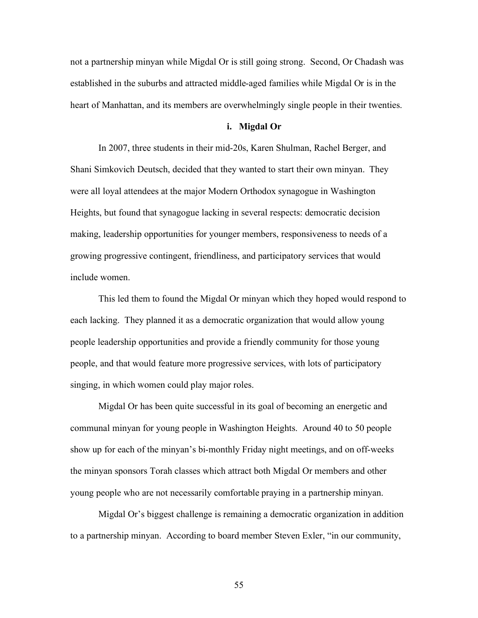not a partnership minyan while Migdal Or is still going strong. Second, Or Chadash was established in the suburbs and attracted middle-aged families while Migdal Or is in the heart of Manhattan, and its members are overwhelmingly single people in their twenties.

#### **i. Migdal Or**

In 2007, three students in their mid-20s, Karen Shulman, Rachel Berger, and Shani Simkovich Deutsch, decided that they wanted to start their own minyan.They were all loyal attendees at the major Modern Orthodox synagogue in Washington Heights, but found that synagogue lacking in several respects: democratic decision making, leadership opportunities for younger members, responsiveness to needs of a growing progressive contingent, friendliness, and participatory services that would include women.

This led them to found the Migdal Or minyan which they hoped would respond to each lacking. They planned it as a democratic organization that would allow young people leadership opportunities and provide a friendly community for those young people, and that would feature more progressive services, with lots of participatory singing, in which women could play major roles.

Migdal Or has been quite successful in its goal of becoming an energetic and communal minyan for young people in Washington Heights. Around 40 to 50 people show up for each of the minyan's bi-monthly Friday night meetings, and on off-weeks the minyan sponsors Torah classes which attract both Migdal Or members and other young people who are not necessarily comfortable praying in a partnership minyan.

Migdal Or's biggest challenge is remaining a democratic organization in addition to a partnership minyan. According to board member Steven Exler, "in our community,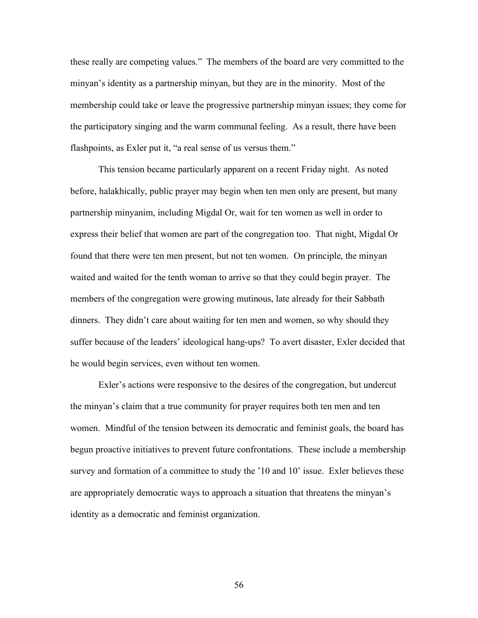these really are competing values." The members of the board are very committed to the minyan's identity as a partnership minyan, but they are in the minority. Most of the membership could take or leave the progressive partnership minyan issues; they come for the participatory singing and the warm communal feeling. As a result, there have been flashpoints, as Exler put it, "a real sense of us versus them."

This tension became particularly apparent on a recent Friday night. As noted before, halakhically, public prayer may begin when ten men only are present, but many partnership minyanim, including Migdal Or, wait for ten women as well in order to express their belief that women are part of the congregation too. That night, Migdal Or found that there were ten men present, but not ten women. On principle, the minyan waited and waited for the tenth woman to arrive so that they could begin prayer. The members of the congregation were growing mutinous, late already for their Sabbath dinners. They didn't care about waiting for ten men and women, so why should they suffer because of the leaders' ideological hang-ups? To avert disaster, Exler decided that he would begin services, even without ten women.

Exler's actions were responsive to the desires of the congregation, but undercut the minyan's claim that a true community for prayer requires both ten men and ten women. Mindful of the tension between its democratic and feminist goals, the board has begun proactive initiatives to prevent future confrontations. These include a membership survey and formation of a committee to study the '10 and 10' issue. Exler believes these are appropriately democratic ways to approach a situation that threatens the minyan's identity as a democratic and feminist organization.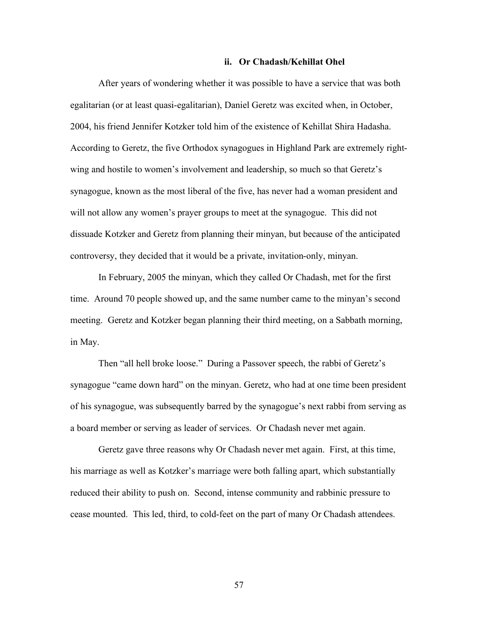#### **ii. Or Chadash/Kehillat Ohel**

After years of wondering whether it was possible to have a service that was both egalitarian (or at least quasi-egalitarian), Daniel Geretz was excited when, in October, 2004, his friend Jennifer Kotzker told him of the existence of Kehillat Shira Hadasha. According to Geretz, the five Orthodox synagogues in Highland Park are extremely rightwing and hostile to women's involvement and leadership, so much so that Geretz's synagogue, known as the most liberal of the five, has never had a woman president and will not allow any women's prayer groups to meet at the synagogue. This did not dissuade Kotzker and Geretz from planning their minyan, but because of the anticipated controversy, they decided that it would be a private, invitation-only, minyan.

In February, 2005 the minyan, which they called Or Chadash, met for the first time. Around 70 people showed up, and the same number came to the minyan's second meeting. Geretz and Kotzker began planning their third meeting, on a Sabbath morning, in May.

Then "all hell broke loose." During a Passover speech, the rabbi of Geretz's synagogue "came down hard" on the minyan. Geretz, who had at one time been president of his synagogue, was subsequently barred by the synagogue's next rabbi from serving as a board member or serving as leader of services. Or Chadash never met again.

Geretz gave three reasons why Or Chadash never met again. First, at this time, his marriage as well as Kotzker's marriage were both falling apart, which substantially reduced their ability to push on. Second, intense community and rabbinic pressure to cease mounted. This led, third, to cold-feet on the part of many Or Chadash attendees.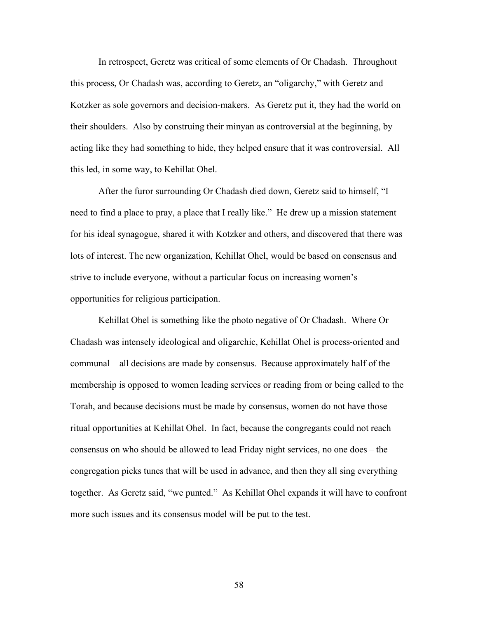In retrospect, Geretz was critical of some elements of Or Chadash. Throughout this process, Or Chadash was, according to Geretz, an "oligarchy," with Geretz and Kotzker as sole governors and decision-makers. As Geretz put it, they had the world on their shoulders. Also by construing their minyan as controversial at the beginning, by acting like they had something to hide, they helped ensure that it was controversial. All this led, in some way, to Kehillat Ohel.

After the furor surrounding Or Chadash died down, Geretz said to himself, "I need to find a place to pray, a place that I really like." He drew up a mission statement for his ideal synagogue, shared it with Kotzker and others, and discovered that there was lots of interest. The new organization, Kehillat Ohel, would be based on consensus and strive to include everyone, without a particular focus on increasing women's opportunities for religious participation.

Kehillat Ohel is something like the photo negative of Or Chadash. Where Or Chadash was intensely ideological and oligarchic, Kehillat Ohel is process-oriented and communal – all decisions are made by consensus. Because approximately half of the membership is opposed to women leading services or reading from or being called to the Torah, and because decisions must be made by consensus, women do not have those ritual opportunities at Kehillat Ohel. In fact, because the congregants could not reach consensus on who should be allowed to lead Friday night services, no one does – the congregation picks tunes that will be used in advance, and then they all sing everything together. As Geretz said, "we punted." As Kehillat Ohel expands it will have to confront more such issues and its consensus model will be put to the test.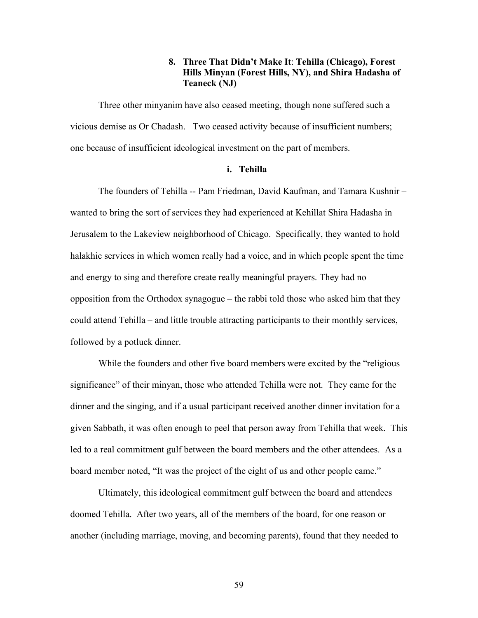## **8. Three That Didn't Make It**: **Tehilla (Chicago), Forest Hills Minyan (Forest Hills, NY), and Shira Hadasha of Teaneck (NJ)**

Three other minyanim have also ceased meeting, though none suffered such a vicious demise as Or Chadash. Two ceased activity because of insufficient numbers; one because of insufficient ideological investment on the part of members.

#### **i. Tehilla**

The founders of Tehilla -- Pam Friedman, David Kaufman, and Tamara Kushnir – wanted to bring the sort of services they had experienced at Kehillat Shira Hadasha in Jerusalem to the Lakeview neighborhood of Chicago. Specifically, they wanted to hold halakhic services in which women really had a voice, and in which people spent the time and energy to sing and therefore create really meaningful prayers. They had no opposition from the Orthodox synagogue – the rabbi told those who asked him that they could attend Tehilla – and little trouble attracting participants to their monthly services, followed by a potluck dinner.

While the founders and other five board members were excited by the "religious significance" of their minyan, those who attended Tehilla were not. They came for the dinner and the singing, and if a usual participant received another dinner invitation for a given Sabbath, it was often enough to peel that person away from Tehilla that week. This led to a real commitment gulf between the board members and the other attendees. As a board member noted, "It was the project of the eight of us and other people came."

Ultimately, this ideological commitment gulf between the board and attendees doomed Tehilla. After two years, all of the members of the board, for one reason or another (including marriage, moving, and becoming parents), found that they needed to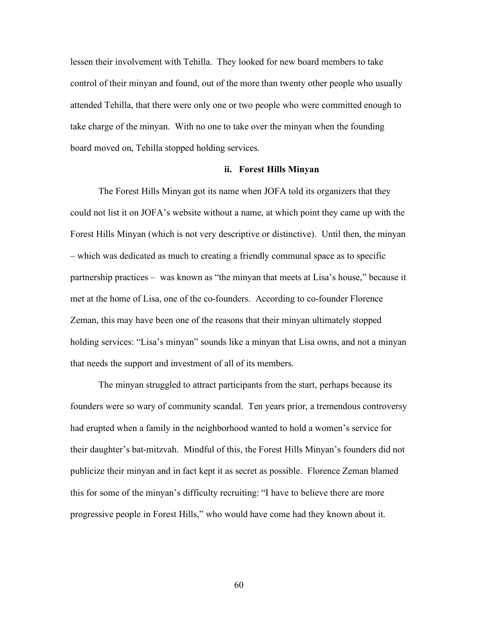lessen their involvement with Tehilla. They looked for new board members to take control of their minyan and found, out of the more than twenty other people who usually attended Tehilla, that there were only one or two people who were committed enough to take charge of the minyan. With no one to take over the minyan when the founding board moved on, Tehilla stopped holding services.

### **ii. Forest Hills Minyan**

The Forest Hills Minyan got its name when JOFA told its organizers that they could not list it on JOFA's website without a name, at which point they came up with the Forest Hills Minyan (which is not very descriptive or distinctive). Until then, the minyan – which was dedicated as much to creating a friendly communal space as to specific partnership practices – was known as "the minyan that meets at Lisa's house," because it met at the home of Lisa, one of the co-founders. According to co-founder Florence Zeman, this may have been one of the reasons that their minyan ultimately stopped holding services: "Lisa's minyan" sounds like a minyan that Lisa owns, and not a minyan that needs the support and investment of all of its members.

The minyan struggled to attract participants from the start, perhaps because its founders were so wary of community scandal. Ten years prior, a tremendous controversy had erupted when a family in the neighborhood wanted to hold a women's service for their daughter's bat-mitzvah. Mindful of this, the Forest Hills Minyan's founders did not publicize their minyan and in fact kept it as secret as possible. Florence Zeman blamed this for some of the minyan's difficulty recruiting: "I have to believe there are more progressive people in Forest Hills," who would have come had they known about it.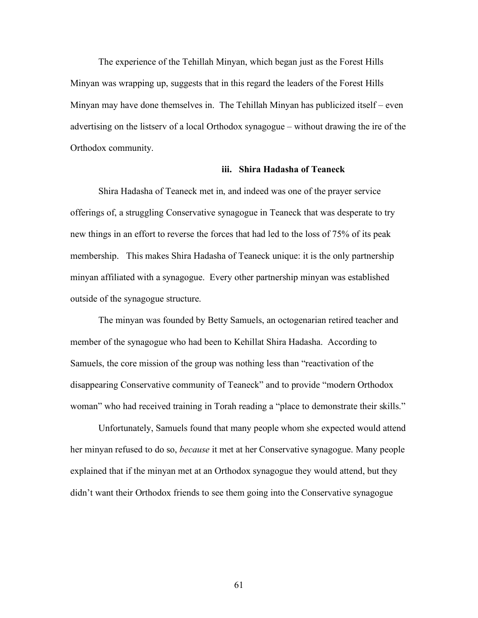The experience of the Tehillah Minyan, which began just as the Forest Hills Minyan was wrapping up, suggests that in this regard the leaders of the Forest Hills Minyan may have done themselves in. The Tehillah Minyan has publicized itself – even advertising on the listserv of a local Orthodox synagogue – without drawing the ire of the Orthodox community.

#### **iii. Shira Hadasha of Teaneck**

Shira Hadasha of Teaneck met in, and indeed was one of the prayer service offerings of, a struggling Conservative synagogue in Teaneck that was desperate to try new things in an effort to reverse the forces that had led to the loss of 75% of its peak membership. This makes Shira Hadasha of Teaneck unique: it is the only partnership minyan affiliated with a synagogue. Every other partnership minyan was established outside of the synagogue structure.

The minyan was founded by Betty Samuels, an octogenarian retired teacher and member of the synagogue who had been to Kehillat Shira Hadasha. According to Samuels, the core mission of the group was nothing less than "reactivation of the disappearing Conservative community of Teaneck" and to provide "modern Orthodox woman" who had received training in Torah reading a "place to demonstrate their skills."

Unfortunately, Samuels found that many people whom she expected would attend her minyan refused to do so, *because* it met at her Conservative synagogue. Many people explained that if the minyan met at an Orthodox synagogue they would attend, but they didn't want their Orthodox friends to see them going into the Conservative synagogue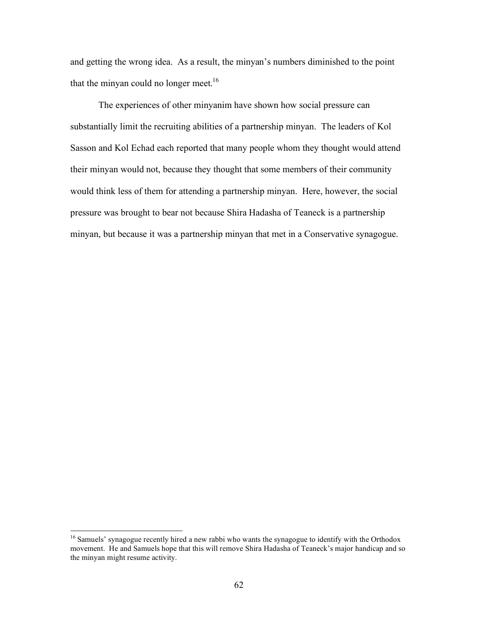and getting the wrong idea. As a result, the minyan's numbers diminished to the point that the minyan could no longer meet.<sup>16</sup>

The experiences of other minyanim have shown how social pressure can substantially limit the recruiting abilities of a partnership minyan. The leaders of Kol Sasson and Kol Echad each reported that many people whom they thought would attend their minyan would not, because they thought that some members of their community would think less of them for attending a partnership minyan. Here, however, the social pressure was brought to bear not because Shira Hadasha of Teaneck is a partnership minyan, but because it was a partnership minyan that met in a Conservative synagogue.

<sup>&</sup>lt;sup>16</sup> Samuels' synagogue recently hired a new rabbi who wants the synagogue to identify with the Orthodox movement. He and Samuels hope that this will remove Shira Hadasha of Teaneck's major handicap and so the minyan might resume activity.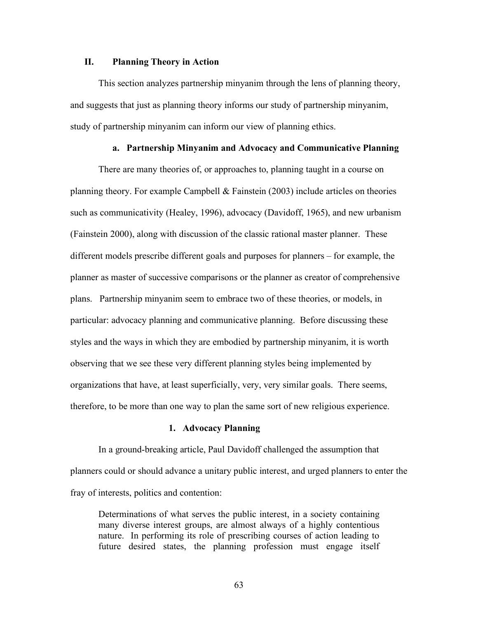#### **II. Planning Theory in Action**

This section analyzes partnership minyanim through the lens of planning theory, and suggests that just as planning theory informs our study of partnership minyanim, study of partnership minyanim can inform our view of planning ethics.

### **a. Partnership Minyanim and Advocacy and Communicative Planning**

There are many theories of, or approaches to, planning taught in a course on planning theory. For example Campbell  $&$  Fainstein (2003) include articles on theories such as communicativity (Healey, 1996), advocacy (Davidoff, 1965), and new urbanism (Fainstein 2000), along with discussion of the classic rational master planner. These different models prescribe different goals and purposes for planners – for example, the planner as master of successive comparisons or the planner as creator of comprehensive plans. Partnership minyanim seem to embrace two of these theories, or models, in particular: advocacy planning and communicative planning. Before discussing these styles and the ways in which they are embodied by partnership minyanim, it is worth observing that we see these very different planning styles being implemented by organizations that have, at least superficially, very, very similar goals. There seems, therefore, to be more than one way to plan the same sort of new religious experience.

### **1. Advocacy Planning**

In a ground-breaking article, Paul Davidoff challenged the assumption that planners could or should advance a unitary public interest, and urged planners to enter the fray of interests, politics and contention:

Determinations of what serves the public interest, in a society containing many diverse interest groups, are almost always of a highly contentious nature. In performing its role of prescribing courses of action leading to future desired states, the planning profession must engage itself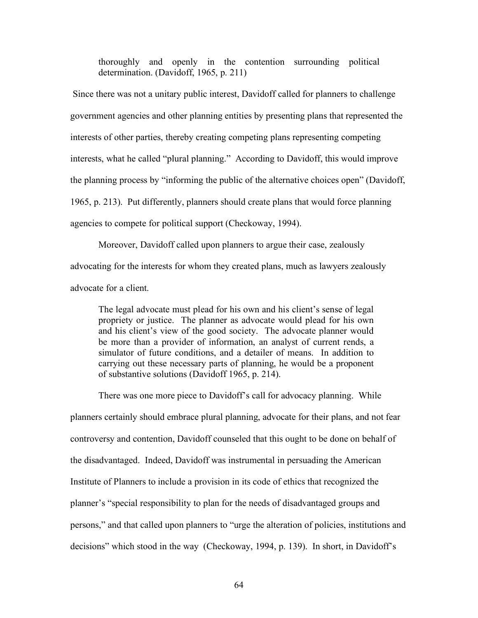thoroughly and openly in the contention surrounding political determination. (Davidoff, 1965, p. 211)

 Since there was not a unitary public interest, Davidoff called for planners to challenge government agencies and other planning entities by presenting plans that represented the interests of other parties, thereby creating competing plans representing competing interests, what he called "plural planning." According to Davidoff, this would improve the planning process by "informing the public of the alternative choices open" (Davidoff, 1965, p. 213). Put differently, planners should create plans that would force planning agencies to compete for political support (Checkoway, 1994).

Moreover, Davidoff called upon planners to argue their case, zealously advocating for the interests for whom they created plans, much as lawyers zealously advocate for a client.

The legal advocate must plead for his own and his client's sense of legal propriety or justice. The planner as advocate would plead for his own and his client's view of the good society. The advocate planner would be more than a provider of information, an analyst of current rends, a simulator of future conditions, and a detailer of means. In addition to carrying out these necessary parts of planning, he would be a proponent of substantive solutions (Davidoff 1965, p. 214).

There was one more piece to Davidoff's call for advocacy planning. While planners certainly should embrace plural planning, advocate for their plans, and not fear controversy and contention, Davidoff counseled that this ought to be done on behalf of the disadvantaged. Indeed, Davidoff was instrumental in persuading the American Institute of Planners to include a provision in its code of ethics that recognized the planner's "special responsibility to plan for the needs of disadvantaged groups and persons," and that called upon planners to "urge the alteration of policies, institutions and decisions" which stood in the way (Checkoway, 1994, p. 139). In short, in Davidoff's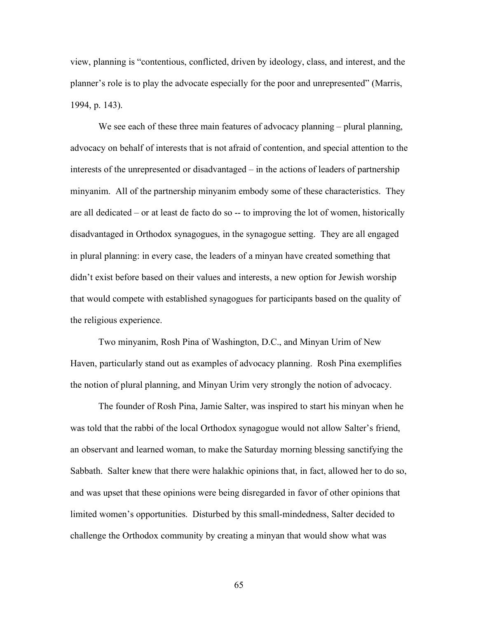view, planning is "contentious, conflicted, driven by ideology, class, and interest, and the planner's role is to play the advocate especially for the poor and unrepresented" (Marris, 1994, p. 143).

We see each of these three main features of advocacy planning – plural planning, advocacy on behalf of interests that is not afraid of contention, and special attention to the interests of the unrepresented or disadvantaged – in the actions of leaders of partnership minyanim. All of the partnership minyanim embody some of these characteristics. They are all dedicated – or at least de facto do so -- to improving the lot of women, historically disadvantaged in Orthodox synagogues, in the synagogue setting. They are all engaged in plural planning: in every case, the leaders of a minyan have created something that didn't exist before based on their values and interests, a new option for Jewish worship that would compete with established synagogues for participants based on the quality of the religious experience.

Two minyanim, Rosh Pina of Washington, D.C., and Minyan Urim of New Haven, particularly stand out as examples of advocacy planning. Rosh Pina exemplifies the notion of plural planning, and Minyan Urim very strongly the notion of advocacy.

The founder of Rosh Pina, Jamie Salter, was inspired to start his minyan when he was told that the rabbi of the local Orthodox synagogue would not allow Salter's friend, an observant and learned woman, to make the Saturday morning blessing sanctifying the Sabbath. Salter knew that there were halakhic opinions that, in fact, allowed her to do so, and was upset that these opinions were being disregarded in favor of other opinions that limited women's opportunities. Disturbed by this small-mindedness, Salter decided to challenge the Orthodox community by creating a minyan that would show what was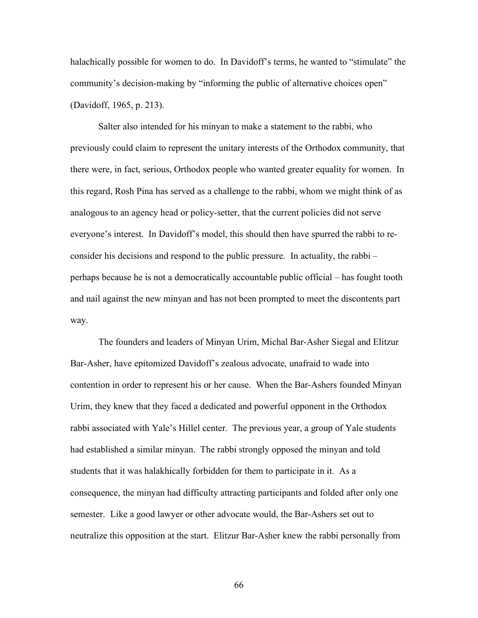halachically possible for women to do. In Davidoff's terms, he wanted to "stimulate" the community's decision-making by "informing the public of alternative choices open" (Davidoff, 1965, p. 213).

Salter also intended for his minyan to make a statement to the rabbi, who previously could claim to represent the unitary interests of the Orthodox community, that there were, in fact, serious, Orthodox people who wanted greater equality for women. In this regard, Rosh Pina has served as a challenge to the rabbi, whom we might think of as analogous to an agency head or policy-setter, that the current policies did not serve everyone's interest. In Davidoff's model, this should then have spurred the rabbi to reconsider his decisions and respond to the public pressure. In actuality, the rabbi – perhaps because he is not a democratically accountable public official – has fought tooth and nail against the new minyan and has not been prompted to meet the discontents part way.

The founders and leaders of Minyan Urim, Michal Bar-Asher Siegal and Elitzur Bar-Asher, have epitomized Davidoff's zealous advocate, unafraid to wade into contention in order to represent his or her cause. When the Bar-Ashers founded Minyan Urim, they knew that they faced a dedicated and powerful opponent in the Orthodox rabbi associated with Yale's Hillel center. The previous year, a group of Yale students had established a similar minyan. The rabbi strongly opposed the minyan and told students that it was halakhically forbidden for them to participate in it. As a consequence, the minyan had difficulty attracting participants and folded after only one semester. Like a good lawyer or other advocate would, the Bar-Ashers set out to neutralize this opposition at the start. Elitzur Bar-Asher knew the rabbi personally from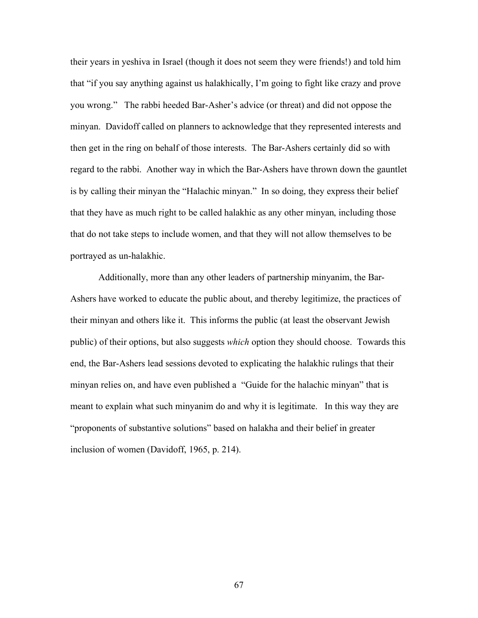their years in yeshiva in Israel (though it does not seem they were friends!) and told him that "if you say anything against us halakhically, I'm going to fight like crazy and prove you wrong." The rabbi heeded Bar-Asher's advice (or threat) and did not oppose the minyan. Davidoff called on planners to acknowledge that they represented interests and then get in the ring on behalf of those interests. The Bar-Ashers certainly did so with regard to the rabbi. Another way in which the Bar-Ashers have thrown down the gauntlet is by calling their minyan the "Halachic minyan." In so doing, they express their belief that they have as much right to be called halakhic as any other minyan, including those that do not take steps to include women, and that they will not allow themselves to be portrayed as un-halakhic.

Additionally, more than any other leaders of partnership minyanim, the Bar-Ashers have worked to educate the public about, and thereby legitimize, the practices of their minyan and others like it. This informs the public (at least the observant Jewish public) of their options, but also suggests *which* option they should choose. Towards this end, the Bar-Ashers lead sessions devoted to explicating the halakhic rulings that their minyan relies on, and have even published a "Guide for the halachic minyan" that is meant to explain what such minyanim do and why it is legitimate. In this way they are "proponents of substantive solutions" based on halakha and their belief in greater inclusion of women (Davidoff, 1965, p. 214).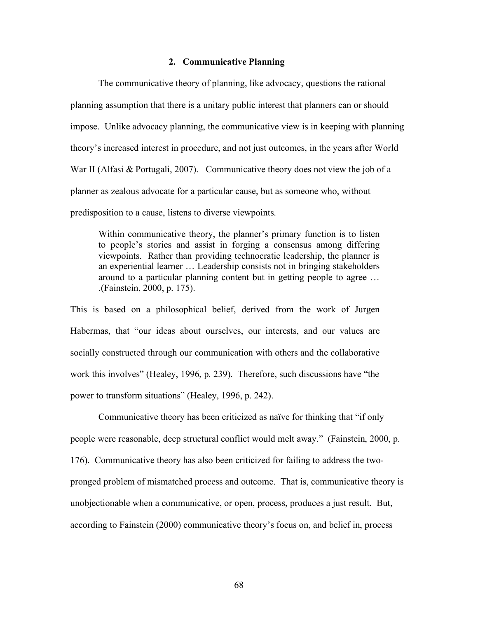### **2. Communicative Planning**

The communicative theory of planning, like advocacy, questions the rational planning assumption that there is a unitary public interest that planners can or should impose. Unlike advocacy planning, the communicative view is in keeping with planning theory's increased interest in procedure, and not just outcomes, in the years after World War II (Alfasi & Portugali, 2007). Communicative theory does not view the job of a planner as zealous advocate for a particular cause, but as someone who, without predisposition to a cause, listens to diverse viewpoints.

Within communicative theory, the planner's primary function is to listen to people's stories and assist in forging a consensus among differing viewpoints. Rather than providing technocratic leadership, the planner is an experiential learner … Leadership consists not in bringing stakeholders around to a particular planning content but in getting people to agree … .(Fainstein, 2000, p. 175).

This is based on a philosophical belief, derived from the work of Jurgen Habermas, that "our ideas about ourselves, our interests, and our values are socially constructed through our communication with others and the collaborative work this involves" (Healey, 1996, p. 239). Therefore, such discussions have "the power to transform situations" (Healey, 1996, p. 242).

Communicative theory has been criticized as naïve for thinking that "if only people were reasonable, deep structural conflict would melt away." (Fainstein, 2000, p. 176). Communicative theory has also been criticized for failing to address the twopronged problem of mismatched process and outcome. That is, communicative theory is unobjectionable when a communicative, or open, process, produces a just result. But, according to Fainstein (2000) communicative theory's focus on, and belief in, process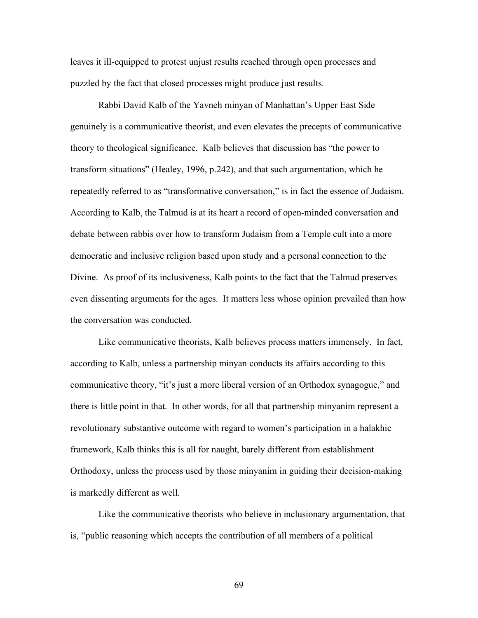leaves it ill-equipped to protest unjust results reached through open processes and puzzled by the fact that closed processes might produce just results.

Rabbi David Kalb of the Yavneh minyan of Manhattan's Upper East Side genuinely is a communicative theorist, and even elevates the precepts of communicative theory to theological significance. Kalb believes that discussion has "the power to transform situations" (Healey, 1996, p.242), and that such argumentation, which he repeatedly referred to as "transformative conversation," is in fact the essence of Judaism. According to Kalb, the Talmud is at its heart a record of open-minded conversation and debate between rabbis over how to transform Judaism from a Temple cult into a more democratic and inclusive religion based upon study and a personal connection to the Divine. As proof of its inclusiveness, Kalb points to the fact that the Talmud preserves even dissenting arguments for the ages. It matters less whose opinion prevailed than how the conversation was conducted.

Like communicative theorists, Kalb believes process matters immensely. In fact, according to Kalb, unless a partnership minyan conducts its affairs according to this communicative theory, "it's just a more liberal version of an Orthodox synagogue," and there is little point in that. In other words, for all that partnership minyanim represent a revolutionary substantive outcome with regard to women's participation in a halakhic framework, Kalb thinks this is all for naught, barely different from establishment Orthodoxy, unless the process used by those minyanim in guiding their decision-making is markedly different as well.

Like the communicative theorists who believe in inclusionary argumentation, that is, "public reasoning which accepts the contribution of all members of a political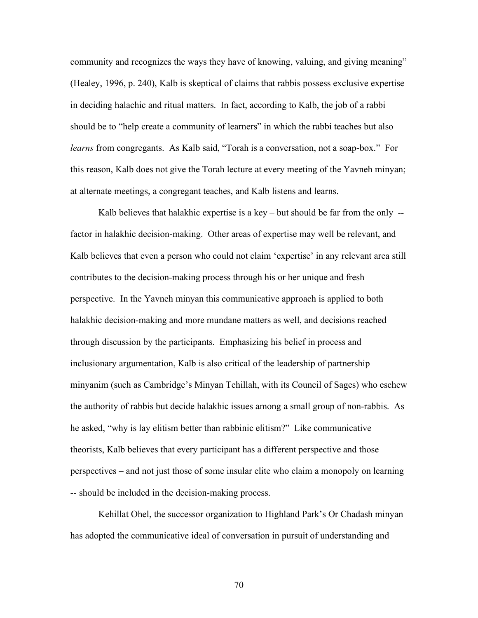community and recognizes the ways they have of knowing, valuing, and giving meaning" (Healey, 1996, p. 240), Kalb is skeptical of claims that rabbis possess exclusive expertise in deciding halachic and ritual matters. In fact, according to Kalb, the job of a rabbi should be to "help create a community of learners" in which the rabbi teaches but also *learns* from congregants. As Kalb said, "Torah is a conversation, not a soap-box." For this reason, Kalb does not give the Torah lecture at every meeting of the Yavneh minyan; at alternate meetings, a congregant teaches, and Kalb listens and learns.

Kalb believes that halakhic expertise is a key  $-$  but should be far from the only  $$ factor in halakhic decision-making. Other areas of expertise may well be relevant, and Kalb believes that even a person who could not claim 'expertise' in any relevant area still contributes to the decision-making process through his or her unique and fresh perspective. In the Yavneh minyan this communicative approach is applied to both halakhic decision-making and more mundane matters as well, and decisions reached through discussion by the participants. Emphasizing his belief in process and inclusionary argumentation, Kalb is also critical of the leadership of partnership minyanim (such as Cambridge's Minyan Tehillah, with its Council of Sages) who eschew the authority of rabbis but decide halakhic issues among a small group of non-rabbis. As he asked, "why is lay elitism better than rabbinic elitism?" Like communicative theorists, Kalb believes that every participant has a different perspective and those perspectives – and not just those of some insular elite who claim a monopoly on learning -- should be included in the decision-making process.

Kehillat Ohel, the successor organization to Highland Park's Or Chadash minyan has adopted the communicative ideal of conversation in pursuit of understanding and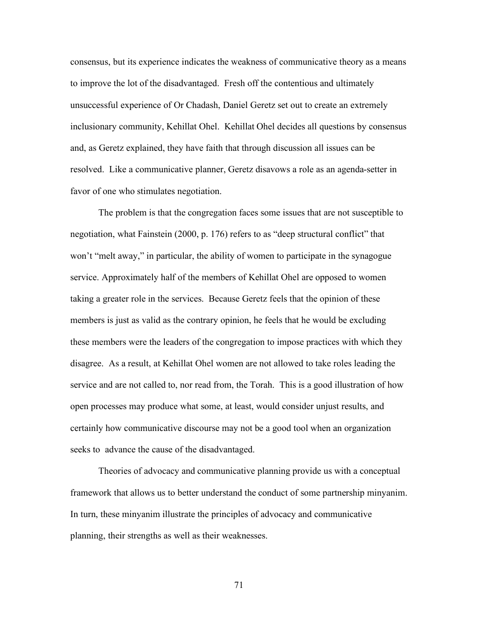consensus, but its experience indicates the weakness of communicative theory as a means to improve the lot of the disadvantaged. Fresh off the contentious and ultimately unsuccessful experience of Or Chadash, Daniel Geretz set out to create an extremely inclusionary community, Kehillat Ohel. Kehillat Ohel decides all questions by consensus and, as Geretz explained, they have faith that through discussion all issues can be resolved. Like a communicative planner, Geretz disavows a role as an agenda-setter in favor of one who stimulates negotiation.

The problem is that the congregation faces some issues that are not susceptible to negotiation, what Fainstein (2000, p. 176) refers to as "deep structural conflict" that won't "melt away," in particular, the ability of women to participate in the synagogue service. Approximately half of the members of Kehillat Ohel are opposed to women taking a greater role in the services. Because Geretz feels that the opinion of these members is just as valid as the contrary opinion, he feels that he would be excluding these members were the leaders of the congregation to impose practices with which they disagree. As a result, at Kehillat Ohel women are not allowed to take roles leading the service and are not called to, nor read from, the Torah. This is a good illustration of how open processes may produce what some, at least, would consider unjust results, and certainly how communicative discourse may not be a good tool when an organization seeks to advance the cause of the disadvantaged.

Theories of advocacy and communicative planning provide us with a conceptual framework that allows us to better understand the conduct of some partnership minyanim. In turn, these minyanim illustrate the principles of advocacy and communicative planning, their strengths as well as their weaknesses.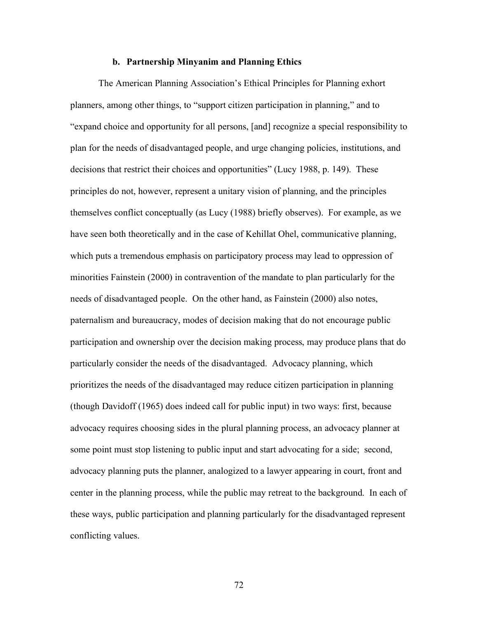## **b. Partnership Minyanim and Planning Ethics**

The American Planning Association's Ethical Principles for Planning exhort planners, among other things, to "support citizen participation in planning," and to "expand choice and opportunity for all persons, [and] recognize a special responsibility to plan for the needs of disadvantaged people, and urge changing policies, institutions, and decisions that restrict their choices and opportunities" (Lucy 1988, p. 149). These principles do not, however, represent a unitary vision of planning, and the principles themselves conflict conceptually (as Lucy (1988) briefly observes). For example, as we have seen both theoretically and in the case of Kehillat Ohel, communicative planning, which puts a tremendous emphasis on participatory process may lead to oppression of minorities Fainstein (2000) in contravention of the mandate to plan particularly for the needs of disadvantaged people. On the other hand, as Fainstein (2000) also notes, paternalism and bureaucracy, modes of decision making that do not encourage public participation and ownership over the decision making process, may produce plans that do particularly consider the needs of the disadvantaged. Advocacy planning, which prioritizes the needs of the disadvantaged may reduce citizen participation in planning (though Davidoff (1965) does indeed call for public input) in two ways: first, because advocacy requires choosing sides in the plural planning process, an advocacy planner at some point must stop listening to public input and start advocating for a side; second, advocacy planning puts the planner, analogized to a lawyer appearing in court, front and center in the planning process, while the public may retreat to the background. In each of these ways, public participation and planning particularly for the disadvantaged represent conflicting values.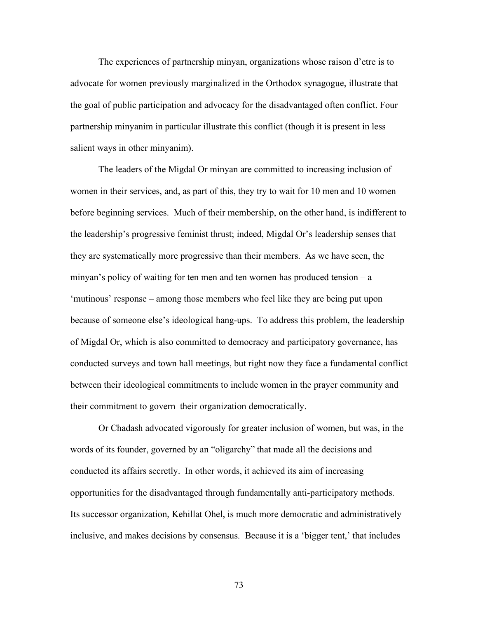The experiences of partnership minyan, organizations whose raison d'etre is to advocate for women previously marginalized in the Orthodox synagogue, illustrate that the goal of public participation and advocacy for the disadvantaged often conflict. Four partnership minyanim in particular illustrate this conflict (though it is present in less salient ways in other minyanim).

The leaders of the Migdal Or minyan are committed to increasing inclusion of women in their services, and, as part of this, they try to wait for 10 men and 10 women before beginning services. Much of their membership, on the other hand, is indifferent to the leadership's progressive feminist thrust; indeed, Migdal Or's leadership senses that they are systematically more progressive than their members. As we have seen, the minyan's policy of waiting for ten men and ten women has produced tension – a 'mutinous' response – among those members who feel like they are being put upon because of someone else's ideological hang-ups. To address this problem, the leadership of Migdal Or, which is also committed to democracy and participatory governance, has conducted surveys and town hall meetings, but right now they face a fundamental conflict between their ideological commitments to include women in the prayer community and their commitment to govern their organization democratically.

Or Chadash advocated vigorously for greater inclusion of women, but was, in the words of its founder, governed by an "oligarchy" that made all the decisions and conducted its affairs secretly. In other words, it achieved its aim of increasing opportunities for the disadvantaged through fundamentally anti-participatory methods. Its successor organization, Kehillat Ohel, is much more democratic and administratively inclusive, and makes decisions by consensus. Because it is a 'bigger tent,' that includes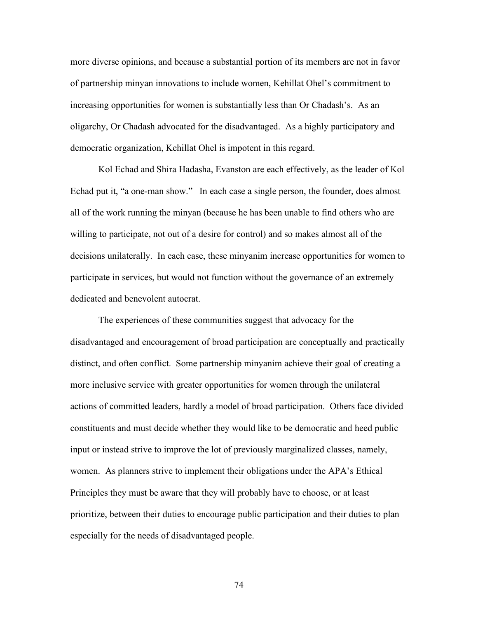more diverse opinions, and because a substantial portion of its members are not in favor of partnership minyan innovations to include women, Kehillat Ohel's commitment to increasing opportunities for women is substantially less than Or Chadash's. As an oligarchy, Or Chadash advocated for the disadvantaged. As a highly participatory and democratic organization, Kehillat Ohel is impotent in this regard.

Kol Echad and Shira Hadasha, Evanston are each effectively, as the leader of Kol Echad put it, "a one-man show." In each case a single person, the founder, does almost all of the work running the minyan (because he has been unable to find others who are willing to participate, not out of a desire for control) and so makes almost all of the decisions unilaterally. In each case, these minyanim increase opportunities for women to participate in services, but would not function without the governance of an extremely dedicated and benevolent autocrat.

The experiences of these communities suggest that advocacy for the disadvantaged and encouragement of broad participation are conceptually and practically distinct, and often conflict. Some partnership minyanim achieve their goal of creating a more inclusive service with greater opportunities for women through the unilateral actions of committed leaders, hardly a model of broad participation. Others face divided constituents and must decide whether they would like to be democratic and heed public input or instead strive to improve the lot of previously marginalized classes, namely, women. As planners strive to implement their obligations under the APA's Ethical Principles they must be aware that they will probably have to choose, or at least prioritize, between their duties to encourage public participation and their duties to plan especially for the needs of disadvantaged people.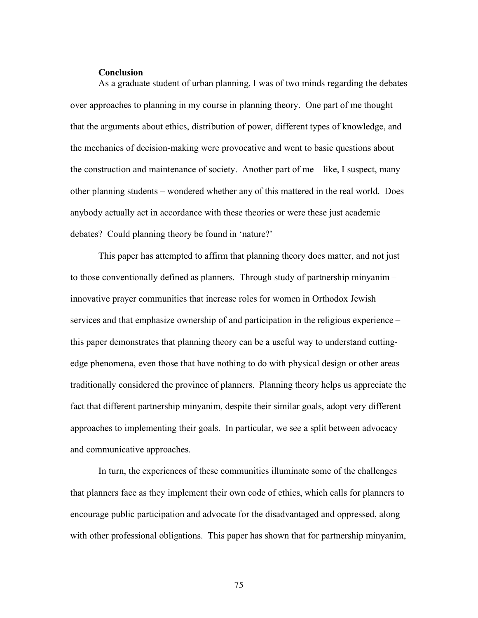## **Conclusion**

As a graduate student of urban planning, I was of two minds regarding the debates over approaches to planning in my course in planning theory. One part of me thought that the arguments about ethics, distribution of power, different types of knowledge, and the mechanics of decision-making were provocative and went to basic questions about the construction and maintenance of society. Another part of me – like, I suspect, many other planning students – wondered whether any of this mattered in the real world. Does anybody actually act in accordance with these theories or were these just academic debates? Could planning theory be found in 'nature?'

This paper has attempted to affirm that planning theory does matter, and not just to those conventionally defined as planners. Through study of partnership minyanim – innovative prayer communities that increase roles for women in Orthodox Jewish services and that emphasize ownership of and participation in the religious experience – this paper demonstrates that planning theory can be a useful way to understand cuttingedge phenomena, even those that have nothing to do with physical design or other areas traditionally considered the province of planners. Planning theory helps us appreciate the fact that different partnership minyanim, despite their similar goals, adopt very different approaches to implementing their goals. In particular, we see a split between advocacy and communicative approaches.

In turn, the experiences of these communities illuminate some of the challenges that planners face as they implement their own code of ethics, which calls for planners to encourage public participation and advocate for the disadvantaged and oppressed, along with other professional obligations. This paper has shown that for partnership minyanim,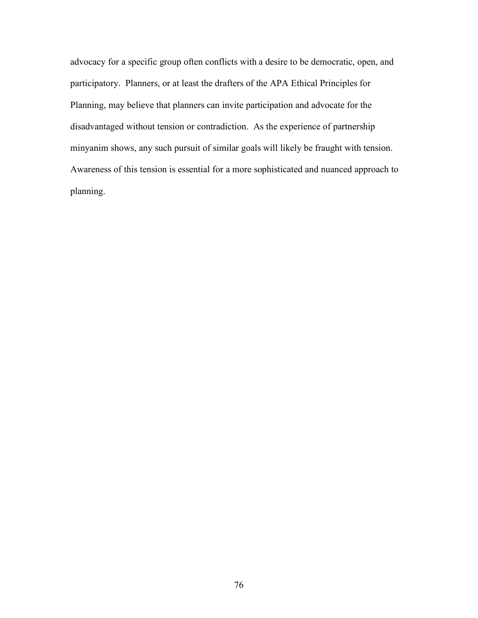advocacy for a specific group often conflicts with a desire to be democratic, open, and participatory. Planners, or at least the drafters of the APA Ethical Principles for Planning, may believe that planners can invite participation and advocate for the disadvantaged without tension or contradiction. As the experience of partnership minyanim shows, any such pursuit of similar goals will likely be fraught with tension. Awareness of this tension is essential for a more sophisticated and nuanced approach to planning.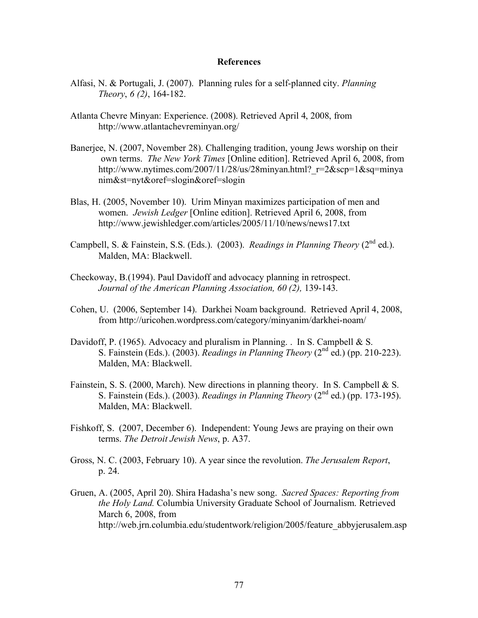## **References**

- Alfasi, N. & Portugali, J. (2007). Planning rules for a self-planned city. *Planning Theory*, *6 (2)*, 164-182.
- Atlanta Chevre Minyan: Experience. (2008). Retrieved April 4, 2008, from http://www.atlantachevreminyan.org/
- Banerjee, N. (2007, November 28). Challenging tradition, young Jews worship on their own terms. *The New York Times* [Online edition]. Retrieved April 6, 2008, from http://www.nytimes.com/2007/11/28/us/28minyan.html? $r=2&$ scp=1 $&$ sq=minya nim&st=nyt&oref=slogin&oref=slogin
- Blas, H. (2005, November 10). Urim Minyan maximizes participation of men and women. *Jewish Ledger* [Online edition]. Retrieved April 6, 2008, from http://www.jewishledger.com/articles/2005/11/10/news/news17.txt
- Campbell, S. & Fainstein, S.S. (Eds.). (2003). *Readings in Planning Theory* (2<sup>nd</sup> ed.). Malden, MA: Blackwell.
- Checkoway, B.(1994). Paul Davidoff and advocacy planning in retrospect. *Journal of the American Planning Association, 60 (2),* 139-143.
- Cohen, U. (2006, September 14). Darkhei Noam background. Retrieved April 4, 2008, from http://uricohen.wordpress.com/category/minyanim/darkhei-noam/
- Davidoff, P. (1965). Advocacy and pluralism in Planning. . In S. Campbell  $& S$ . S. Fainstein (Eds.). (2003). *Readings in Planning Theory* (2nd ed.) (pp. 210-223). Malden, MA: Blackwell.
- Fainstein, S. S. (2000, March). New directions in planning theory. In S. Campbell & S. S. Fainstein (Eds.). (2003). *Readings in Planning Theory* (2nd ed.) (pp. 173-195). Malden, MA: Blackwell.
- Fishkoff, S. (2007, December 6). Independent: Young Jews are praying on their own terms. *The Detroit Jewish News*, p. A37.
- Gross, N. C. (2003, February 10). A year since the revolution. *The Jerusalem Report*, p. 24.
- Gruen, A. (2005, April 20). Shira Hadasha's new song. *Sacred Spaces: Reporting from the Holy Land.* Columbia University Graduate School of Journalism. Retrieved March 6, 2008, from http://web.jrn.columbia.edu/studentwork/religion/2005/feature\_abbyjerusalem.asp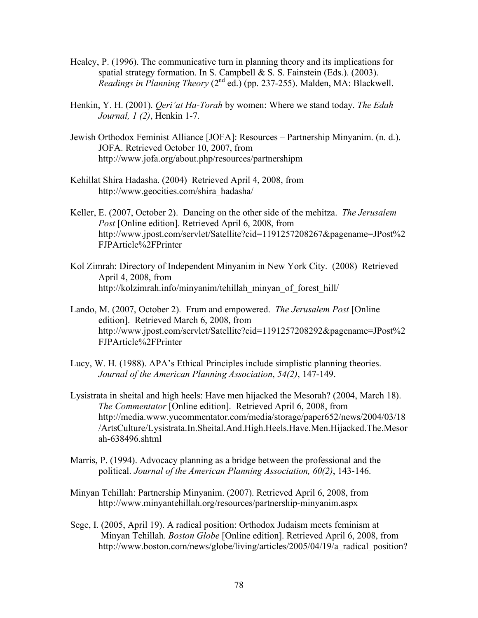- Healey, P. (1996). The communicative turn in planning theory and its implications for spatial strategy formation. In S. Campbell & S. S. Fainstein (Eds.). (2003). *Readings in Planning Theory (2<sup>nd</sup> ed.) (pp. 237-255).* Malden, MA: Blackwell.
- Henkin, Y. H. (2001). *Qeri'at Ha-Torah* by women: Where we stand today. *The Edah Journal, 1 (2)*, Henkin 1-7.
- Jewish Orthodox Feminist Alliance [JOFA]: Resources Partnership Minyanim. (n. d.). JOFA. Retrieved October 10, 2007, from http://www.jofa.org/about.php/resources/partnershipm
- Kehillat Shira Hadasha. (2004) Retrieved April 4, 2008, from http://www.geocities.com/shira\_hadasha/
- Keller, E. (2007, October 2). Dancing on the other side of the mehitza. *The Jerusalem Post* [Online edition]. Retrieved April 6, 2008, from http://www.jpost.com/servlet/Satellite?cid=1191257208267&pagename=JPost%2 FJPArticle%2FPrinter
- Kol Zimrah: Directory of Independent Minyanim in New York City. (2008) Retrieved April 4, 2008, from http://kolzimrah.info/minyanim/tehillah\_minyan\_of\_forest\_hill/
- Lando, M. (2007, October 2). Frum and empowered. *The Jerusalem Post* [Online edition]. Retrieved March 6, 2008, from http://www.jpost.com/servlet/Satellite?cid=1191257208292&pagename=JPost%2 FJPArticle%2FPrinter
- Lucy, W. H. (1988). APA's Ethical Principles include simplistic planning theories. *Journal of the American Planning Association*, *54(2)*, 147-149.
- Lysistrata in sheital and high heels: Have men hijacked the Mesorah? (2004, March 18). *The Commentator* [Online edition]. Retrieved April 6, 2008, from http://media.www.yucommentator.com/media/storage/paper652/news/2004/03/18 /ArtsCulture/Lysistrata.In.Sheital.And.High.Heels.Have.Men.Hijacked.The.Mesor ah-638496.shtml
- Marris, P. (1994). Advocacy planning as a bridge between the professional and the political. *Journal of the American Planning Association, 60(2)*, 143-146.
- Minyan Tehillah: Partnership Minyanim. (2007). Retrieved April 6, 2008, from http://www.minyantehillah.org/resources/partnership-minyanim.aspx
- Sege, I. (2005, April 19). A radical position: Orthodox Judaism meets feminism at Minyan Tehillah. *Boston Globe* [Online edition]. Retrieved April 6, 2008, from http://www.boston.com/news/globe/living/articles/2005/04/19/a radical position?